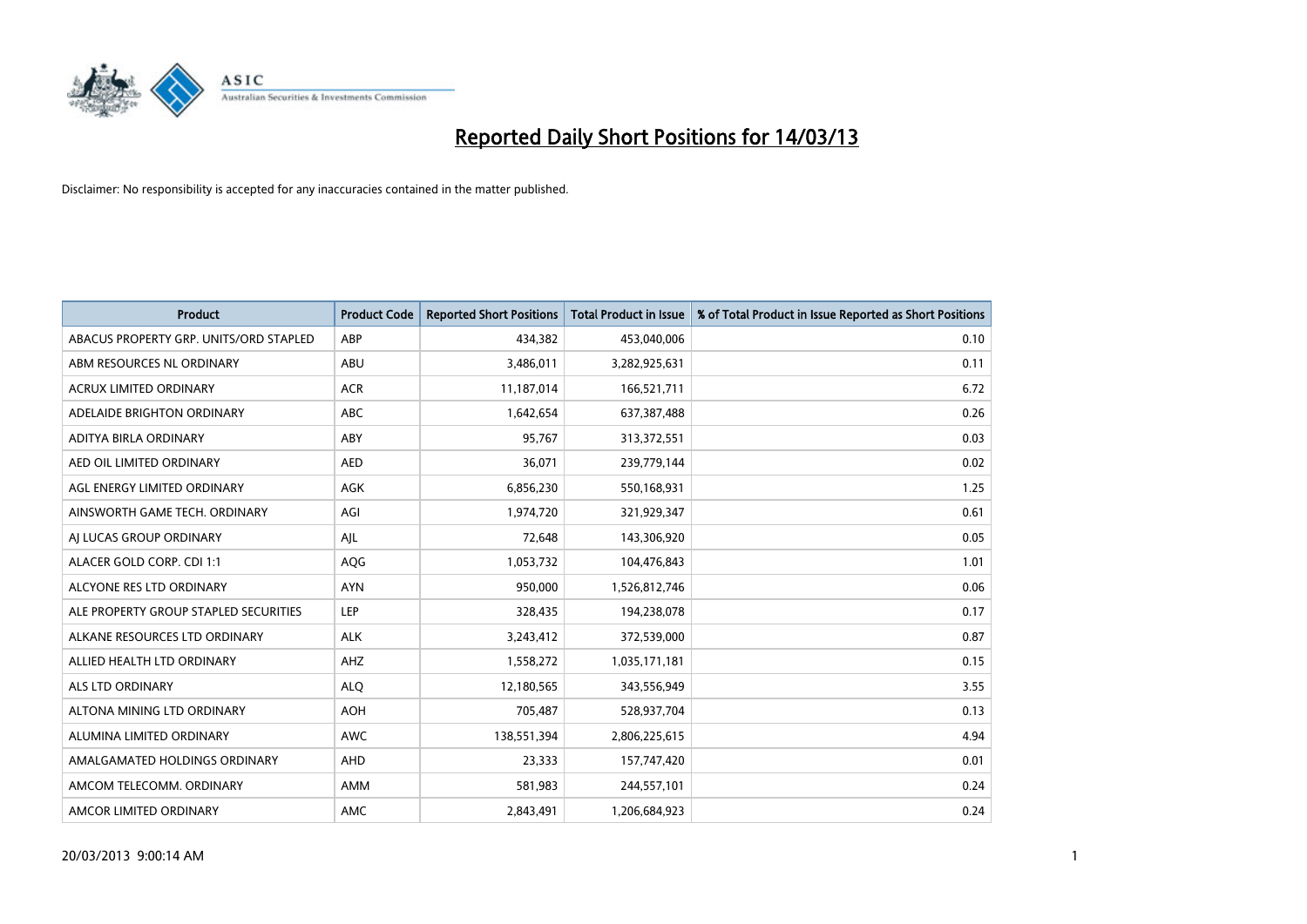

| <b>Product</b>                         | <b>Product Code</b> | <b>Reported Short Positions</b> | <b>Total Product in Issue</b> | % of Total Product in Issue Reported as Short Positions |
|----------------------------------------|---------------------|---------------------------------|-------------------------------|---------------------------------------------------------|
| ABACUS PROPERTY GRP. UNITS/ORD STAPLED | ABP                 | 434,382                         | 453,040,006                   | 0.10                                                    |
| ABM RESOURCES NL ORDINARY              | ABU                 | 3,486,011                       | 3,282,925,631                 | 0.11                                                    |
| <b>ACRUX LIMITED ORDINARY</b>          | <b>ACR</b>          | 11,187,014                      | 166,521,711                   | 6.72                                                    |
| ADELAIDE BRIGHTON ORDINARY             | <b>ABC</b>          | 1,642,654                       | 637,387,488                   | 0.26                                                    |
| <b>ADITYA BIRLA ORDINARY</b>           | ABY                 | 95,767                          | 313,372,551                   | 0.03                                                    |
| AED OIL LIMITED ORDINARY               | <b>AED</b>          | 36,071                          | 239,779,144                   | 0.02                                                    |
| AGL ENERGY LIMITED ORDINARY            | AGK                 | 6,856,230                       | 550,168,931                   | 1.25                                                    |
| AINSWORTH GAME TECH. ORDINARY          | AGI                 | 1,974,720                       | 321,929,347                   | 0.61                                                    |
| AI LUCAS GROUP ORDINARY                | AJL                 | 72,648                          | 143,306,920                   | 0.05                                                    |
| ALACER GOLD CORP. CDI 1:1              | AQG                 | 1,053,732                       | 104,476,843                   | 1.01                                                    |
| ALCYONE RES LTD ORDINARY               | <b>AYN</b>          | 950,000                         | 1,526,812,746                 | 0.06                                                    |
| ALE PROPERTY GROUP STAPLED SECURITIES  | <b>LEP</b>          | 328,435                         | 194,238,078                   | 0.17                                                    |
| ALKANE RESOURCES LTD ORDINARY          | <b>ALK</b>          | 3,243,412                       | 372,539,000                   | 0.87                                                    |
| ALLIED HEALTH LTD ORDINARY             | AHZ                 | 1,558,272                       | 1,035,171,181                 | 0.15                                                    |
| <b>ALS LTD ORDINARY</b>                | <b>ALQ</b>          | 12,180,565                      | 343,556,949                   | 3.55                                                    |
| ALTONA MINING LTD ORDINARY             | <b>AOH</b>          | 705,487                         | 528,937,704                   | 0.13                                                    |
| ALUMINA LIMITED ORDINARY               | <b>AWC</b>          | 138,551,394                     | 2,806,225,615                 | 4.94                                                    |
| AMALGAMATED HOLDINGS ORDINARY          | <b>AHD</b>          | 23,333                          | 157,747,420                   | 0.01                                                    |
| AMCOM TELECOMM, ORDINARY               | AMM                 | 581,983                         | 244,557,101                   | 0.24                                                    |
| AMCOR LIMITED ORDINARY                 | AMC                 | 2,843,491                       | 1,206,684,923                 | 0.24                                                    |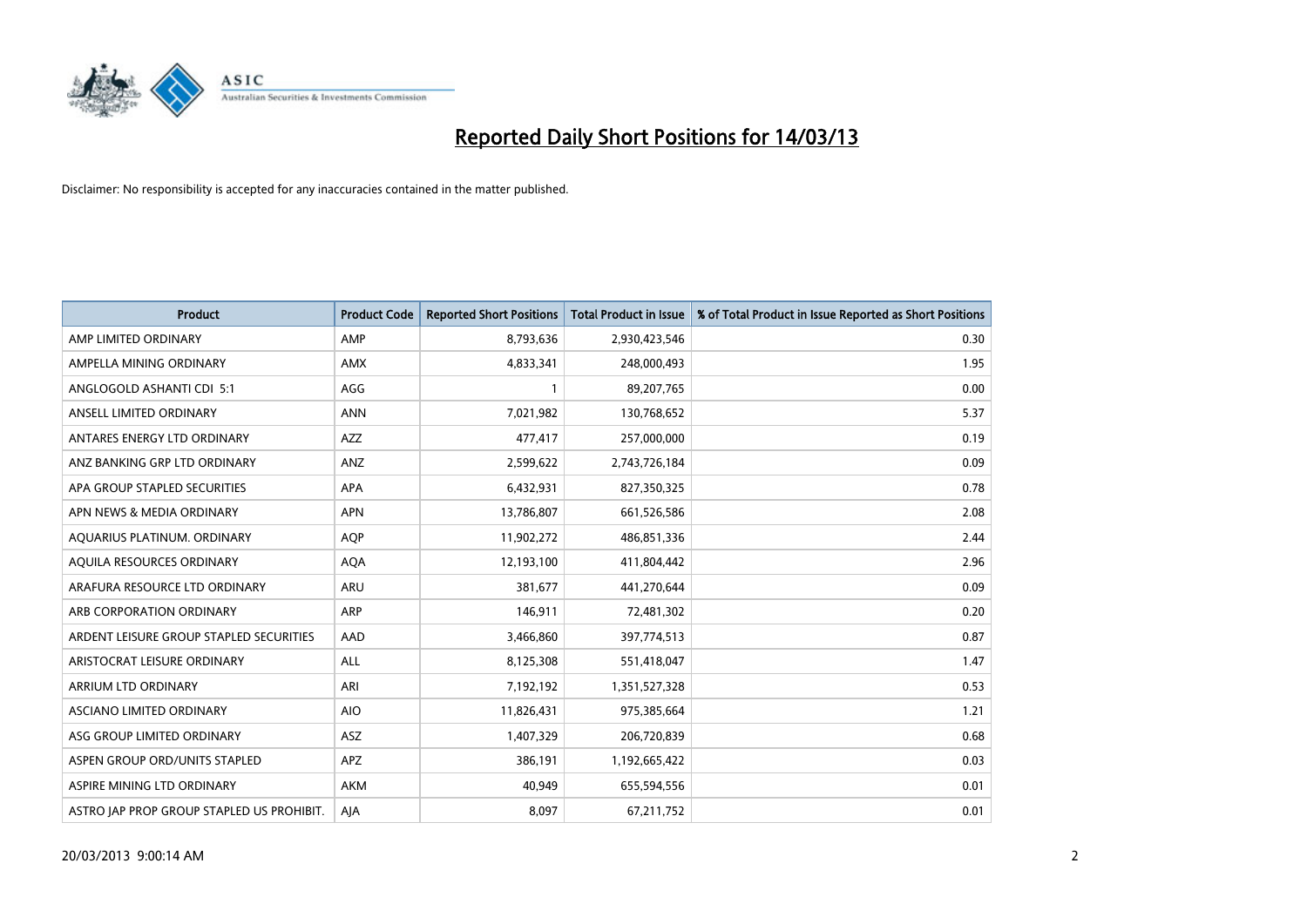

| <b>Product</b>                            | <b>Product Code</b> | <b>Reported Short Positions</b> | <b>Total Product in Issue</b> | % of Total Product in Issue Reported as Short Positions |
|-------------------------------------------|---------------------|---------------------------------|-------------------------------|---------------------------------------------------------|
| AMP LIMITED ORDINARY                      | AMP                 | 8,793,636                       | 2,930,423,546                 | 0.30                                                    |
| AMPELLA MINING ORDINARY                   | <b>AMX</b>          | 4,833,341                       | 248,000,493                   | 1.95                                                    |
| ANGLOGOLD ASHANTI CDI 5:1                 | AGG                 |                                 | 89,207,765                    | 0.00                                                    |
| ANSELL LIMITED ORDINARY                   | <b>ANN</b>          | 7,021,982                       | 130,768,652                   | 5.37                                                    |
| ANTARES ENERGY LTD ORDINARY               | <b>AZZ</b>          | 477,417                         | 257,000,000                   | 0.19                                                    |
| ANZ BANKING GRP LTD ORDINARY              | ANZ                 | 2,599,622                       | 2,743,726,184                 | 0.09                                                    |
| APA GROUP STAPLED SECURITIES              | <b>APA</b>          | 6,432,931                       | 827,350,325                   | 0.78                                                    |
| APN NEWS & MEDIA ORDINARY                 | <b>APN</b>          | 13,786,807                      | 661,526,586                   | 2.08                                                    |
| AQUARIUS PLATINUM. ORDINARY               | <b>AOP</b>          | 11,902,272                      | 486,851,336                   | 2.44                                                    |
| AQUILA RESOURCES ORDINARY                 | <b>AQA</b>          | 12,193,100                      | 411,804,442                   | 2.96                                                    |
| ARAFURA RESOURCE LTD ORDINARY             | <b>ARU</b>          | 381,677                         | 441,270,644                   | 0.09                                                    |
| ARB CORPORATION ORDINARY                  | <b>ARP</b>          | 146,911                         | 72,481,302                    | 0.20                                                    |
| ARDENT LEISURE GROUP STAPLED SECURITIES   | AAD                 | 3,466,860                       | 397,774,513                   | 0.87                                                    |
| ARISTOCRAT LEISURE ORDINARY               | ALL                 | 8,125,308                       | 551,418,047                   | 1.47                                                    |
| ARRIUM LTD ORDINARY                       | ARI                 | 7,192,192                       | 1,351,527,328                 | 0.53                                                    |
| ASCIANO LIMITED ORDINARY                  | <b>AIO</b>          | 11,826,431                      | 975,385,664                   | 1.21                                                    |
| ASG GROUP LIMITED ORDINARY                | <b>ASZ</b>          | 1,407,329                       | 206,720,839                   | 0.68                                                    |
| ASPEN GROUP ORD/UNITS STAPLED             | <b>APZ</b>          | 386,191                         | 1,192,665,422                 | 0.03                                                    |
| ASPIRE MINING LTD ORDINARY                | <b>AKM</b>          | 40,949                          | 655,594,556                   | 0.01                                                    |
| ASTRO JAP PROP GROUP STAPLED US PROHIBIT. | AJA                 | 8.097                           | 67,211,752                    | 0.01                                                    |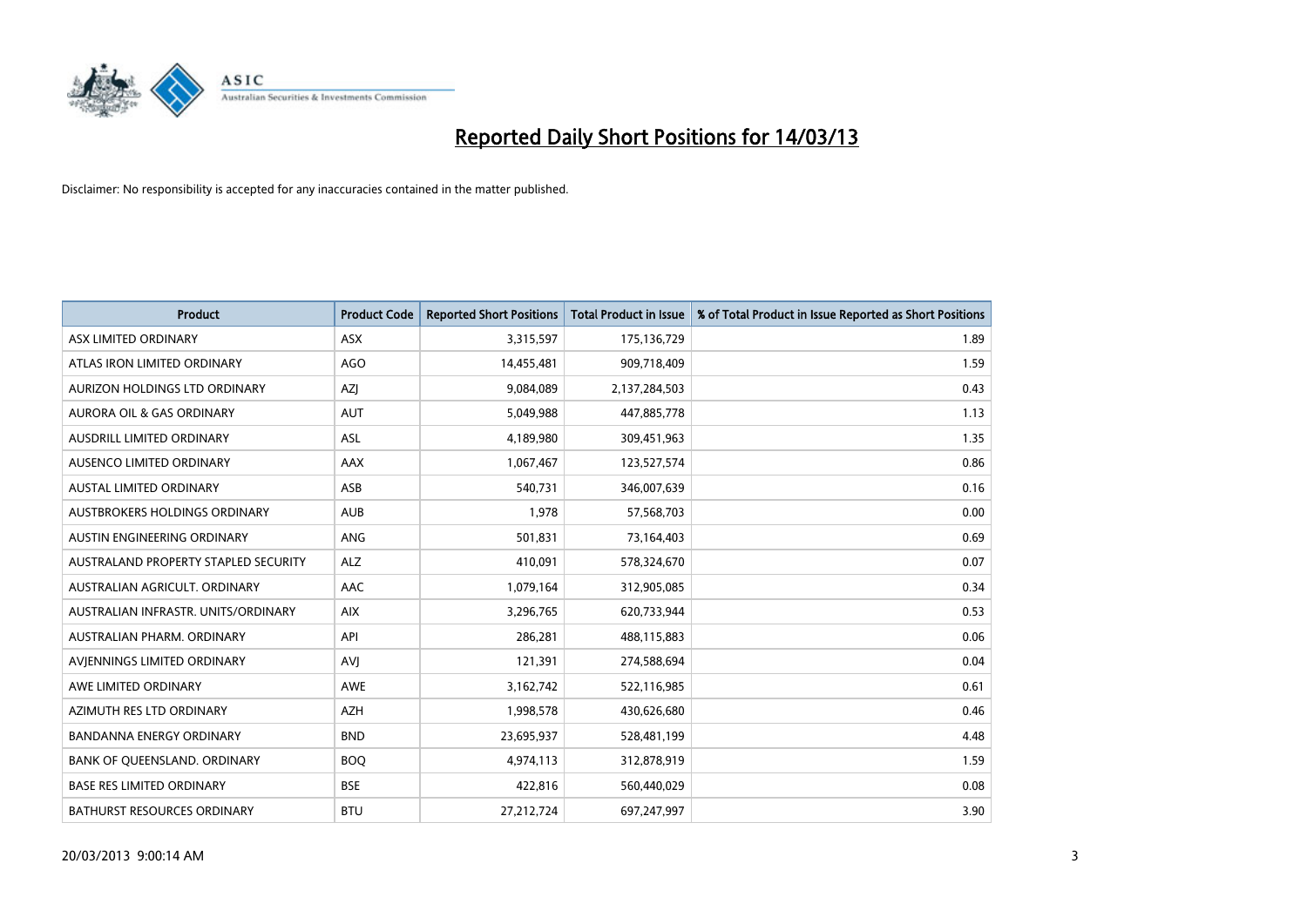

| <b>Product</b>                       | <b>Product Code</b> | <b>Reported Short Positions</b> | <b>Total Product in Issue</b> | % of Total Product in Issue Reported as Short Positions |
|--------------------------------------|---------------------|---------------------------------|-------------------------------|---------------------------------------------------------|
| ASX LIMITED ORDINARY                 | <b>ASX</b>          | 3,315,597                       | 175,136,729                   | 1.89                                                    |
| ATLAS IRON LIMITED ORDINARY          | AGO                 | 14,455,481                      | 909,718,409                   | 1.59                                                    |
| <b>AURIZON HOLDINGS LTD ORDINARY</b> | AZJ                 | 9,084,089                       | 2,137,284,503                 | 0.43                                                    |
| <b>AURORA OIL &amp; GAS ORDINARY</b> | <b>AUT</b>          | 5,049,988                       | 447,885,778                   | 1.13                                                    |
| AUSDRILL LIMITED ORDINARY            | ASL                 | 4,189,980                       | 309,451,963                   | 1.35                                                    |
| AUSENCO LIMITED ORDINARY             | <b>AAX</b>          | 1,067,467                       | 123,527,574                   | 0.86                                                    |
| AUSTAL LIMITED ORDINARY              | <b>ASB</b>          | 540,731                         | 346,007,639                   | 0.16                                                    |
| AUSTBROKERS HOLDINGS ORDINARY        | <b>AUB</b>          | 1,978                           | 57,568,703                    | 0.00                                                    |
| AUSTIN ENGINEERING ORDINARY          | <b>ANG</b>          | 501,831                         | 73,164,403                    | 0.69                                                    |
| AUSTRALAND PROPERTY STAPLED SECURITY | <b>ALZ</b>          | 410,091                         | 578,324,670                   | 0.07                                                    |
| AUSTRALIAN AGRICULT. ORDINARY        | AAC                 | 1,079,164                       | 312,905,085                   | 0.34                                                    |
| AUSTRALIAN INFRASTR, UNITS/ORDINARY  | <b>AIX</b>          | 3,296,765                       | 620,733,944                   | 0.53                                                    |
| AUSTRALIAN PHARM. ORDINARY           | API                 | 286,281                         | 488,115,883                   | 0.06                                                    |
| AVIENNINGS LIMITED ORDINARY          | AVI                 | 121,391                         | 274,588,694                   | 0.04                                                    |
| AWE LIMITED ORDINARY                 | <b>AWE</b>          | 3,162,742                       | 522,116,985                   | 0.61                                                    |
| AZIMUTH RES LTD ORDINARY             | <b>AZH</b>          | 1,998,578                       | 430,626,680                   | 0.46                                                    |
| BANDANNA ENERGY ORDINARY             | <b>BND</b>          | 23,695,937                      | 528,481,199                   | 4.48                                                    |
| BANK OF QUEENSLAND. ORDINARY         | <b>BOO</b>          | 4,974,113                       | 312,878,919                   | 1.59                                                    |
| <b>BASE RES LIMITED ORDINARY</b>     | <b>BSE</b>          | 422,816                         | 560,440,029                   | 0.08                                                    |
| <b>BATHURST RESOURCES ORDINARY</b>   | <b>BTU</b>          | 27,212,724                      | 697,247,997                   | 3.90                                                    |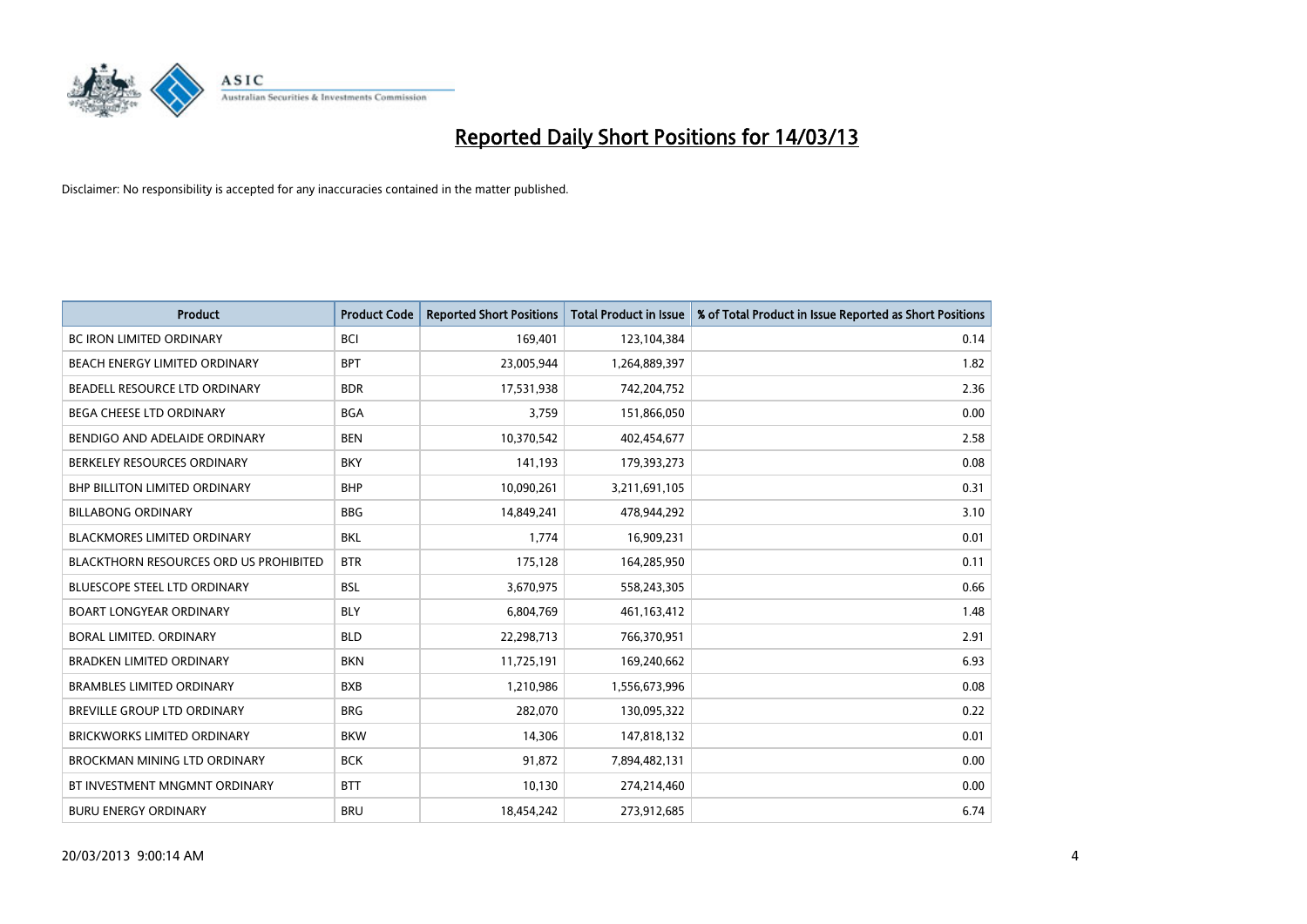

| <b>Product</b>                                | <b>Product Code</b> | <b>Reported Short Positions</b> | <b>Total Product in Issue</b> | % of Total Product in Issue Reported as Short Positions |
|-----------------------------------------------|---------------------|---------------------------------|-------------------------------|---------------------------------------------------------|
| <b>BC IRON LIMITED ORDINARY</b>               | <b>BCI</b>          | 169,401                         | 123,104,384                   | 0.14                                                    |
| <b>BEACH ENERGY LIMITED ORDINARY</b>          | <b>BPT</b>          | 23,005,944                      | 1,264,889,397                 | 1.82                                                    |
| BEADELL RESOURCE LTD ORDINARY                 | <b>BDR</b>          | 17,531,938                      | 742,204,752                   | 2.36                                                    |
| BEGA CHEESE LTD ORDINARY                      | <b>BGA</b>          | 3,759                           | 151,866,050                   | 0.00                                                    |
| BENDIGO AND ADELAIDE ORDINARY                 | <b>BEN</b>          | 10,370,542                      | 402,454,677                   | 2.58                                                    |
| BERKELEY RESOURCES ORDINARY                   | <b>BKY</b>          | 141,193                         | 179,393,273                   | 0.08                                                    |
| <b>BHP BILLITON LIMITED ORDINARY</b>          | <b>BHP</b>          | 10,090,261                      | 3,211,691,105                 | 0.31                                                    |
| <b>BILLABONG ORDINARY</b>                     | <b>BBG</b>          | 14,849,241                      | 478,944,292                   | 3.10                                                    |
| <b>BLACKMORES LIMITED ORDINARY</b>            | <b>BKL</b>          | 1,774                           | 16,909,231                    | 0.01                                                    |
| <b>BLACKTHORN RESOURCES ORD US PROHIBITED</b> | <b>BTR</b>          | 175,128                         | 164,285,950                   | 0.11                                                    |
| <b>BLUESCOPE STEEL LTD ORDINARY</b>           | <b>BSL</b>          | 3,670,975                       | 558,243,305                   | 0.66                                                    |
| <b>BOART LONGYEAR ORDINARY</b>                | <b>BLY</b>          | 6,804,769                       | 461,163,412                   | 1.48                                                    |
| BORAL LIMITED, ORDINARY                       | <b>BLD</b>          | 22,298,713                      | 766,370,951                   | 2.91                                                    |
| <b>BRADKEN LIMITED ORDINARY</b>               | <b>BKN</b>          | 11,725,191                      | 169,240,662                   | 6.93                                                    |
| <b>BRAMBLES LIMITED ORDINARY</b>              | <b>BXB</b>          | 1,210,986                       | 1,556,673,996                 | 0.08                                                    |
| BREVILLE GROUP LTD ORDINARY                   | <b>BRG</b>          | 282,070                         | 130,095,322                   | 0.22                                                    |
| <b>BRICKWORKS LIMITED ORDINARY</b>            | <b>BKW</b>          | 14,306                          | 147,818,132                   | 0.01                                                    |
| <b>BROCKMAN MINING LTD ORDINARY</b>           | <b>BCK</b>          | 91,872                          | 7,894,482,131                 | 0.00                                                    |
| BT INVESTMENT MNGMNT ORDINARY                 | <b>BTT</b>          | 10,130                          | 274,214,460                   | 0.00                                                    |
| <b>BURU ENERGY ORDINARY</b>                   | <b>BRU</b>          | 18,454,242                      | 273,912,685                   | 6.74                                                    |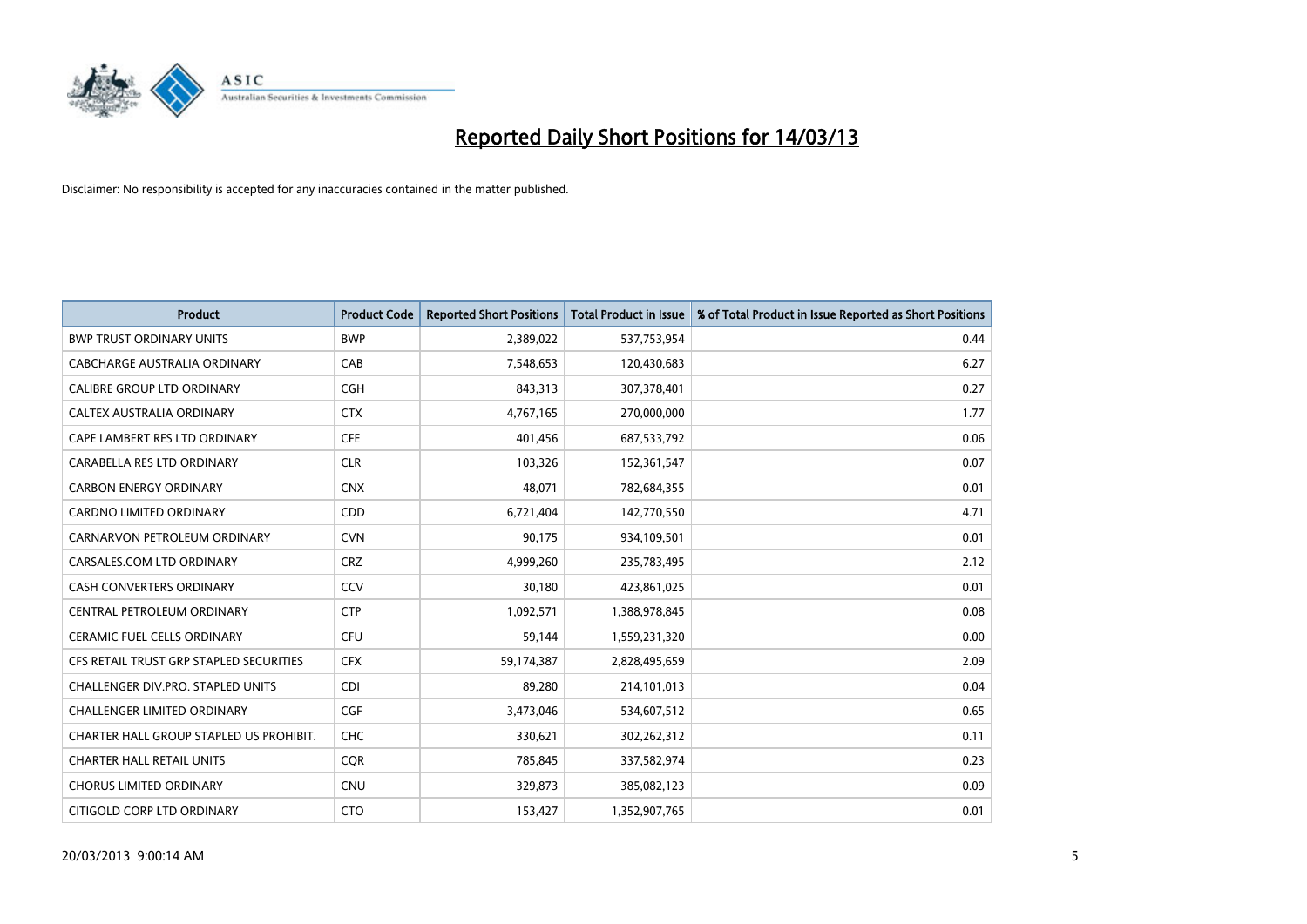

| <b>Product</b>                          | <b>Product Code</b> | <b>Reported Short Positions</b> | <b>Total Product in Issue</b> | % of Total Product in Issue Reported as Short Positions |
|-----------------------------------------|---------------------|---------------------------------|-------------------------------|---------------------------------------------------------|
| <b>BWP TRUST ORDINARY UNITS</b>         | <b>BWP</b>          | 2,389,022                       | 537,753,954                   | 0.44                                                    |
| CABCHARGE AUSTRALIA ORDINARY            | CAB                 | 7,548,653                       | 120,430,683                   | 6.27                                                    |
| <b>CALIBRE GROUP LTD ORDINARY</b>       | <b>CGH</b>          | 843,313                         | 307,378,401                   | 0.27                                                    |
| CALTEX AUSTRALIA ORDINARY               | <b>CTX</b>          | 4,767,165                       | 270,000,000                   | 1.77                                                    |
| CAPE LAMBERT RES LTD ORDINARY           | <b>CFE</b>          | 401,456                         | 687,533,792                   | 0.06                                                    |
| CARABELLA RES LTD ORDINARY              | <b>CLR</b>          | 103,326                         | 152,361,547                   | 0.07                                                    |
| <b>CARBON ENERGY ORDINARY</b>           | <b>CNX</b>          | 48,071                          | 782,684,355                   | 0.01                                                    |
| CARDNO LIMITED ORDINARY                 | <b>CDD</b>          | 6,721,404                       | 142,770,550                   | 4.71                                                    |
| CARNARVON PETROLEUM ORDINARY            | <b>CVN</b>          | 90,175                          | 934,109,501                   | 0.01                                                    |
| CARSALES.COM LTD ORDINARY               | <b>CRZ</b>          | 4,999,260                       | 235,783,495                   | 2.12                                                    |
| CASH CONVERTERS ORDINARY                | CCV                 | 30,180                          | 423,861,025                   | 0.01                                                    |
| CENTRAL PETROLEUM ORDINARY              | <b>CTP</b>          | 1,092,571                       | 1,388,978,845                 | 0.08                                                    |
| CERAMIC FUEL CELLS ORDINARY             | CFU                 | 59,144                          | 1,559,231,320                 | 0.00                                                    |
| CFS RETAIL TRUST GRP STAPLED SECURITIES | <b>CFX</b>          | 59,174,387                      | 2,828,495,659                 | 2.09                                                    |
| CHALLENGER DIV.PRO. STAPLED UNITS       | <b>CDI</b>          | 89,280                          | 214,101,013                   | 0.04                                                    |
| CHALLENGER LIMITED ORDINARY             | <b>CGF</b>          | 3,473,046                       | 534,607,512                   | 0.65                                                    |
| CHARTER HALL GROUP STAPLED US PROHIBIT. | <b>CHC</b>          | 330,621                         | 302,262,312                   | 0.11                                                    |
| <b>CHARTER HALL RETAIL UNITS</b>        | <b>CQR</b>          | 785,845                         | 337,582,974                   | 0.23                                                    |
| <b>CHORUS LIMITED ORDINARY</b>          | <b>CNU</b>          | 329,873                         | 385,082,123                   | 0.09                                                    |
| CITIGOLD CORP LTD ORDINARY              | <b>CTO</b>          | 153,427                         | 1,352,907,765                 | 0.01                                                    |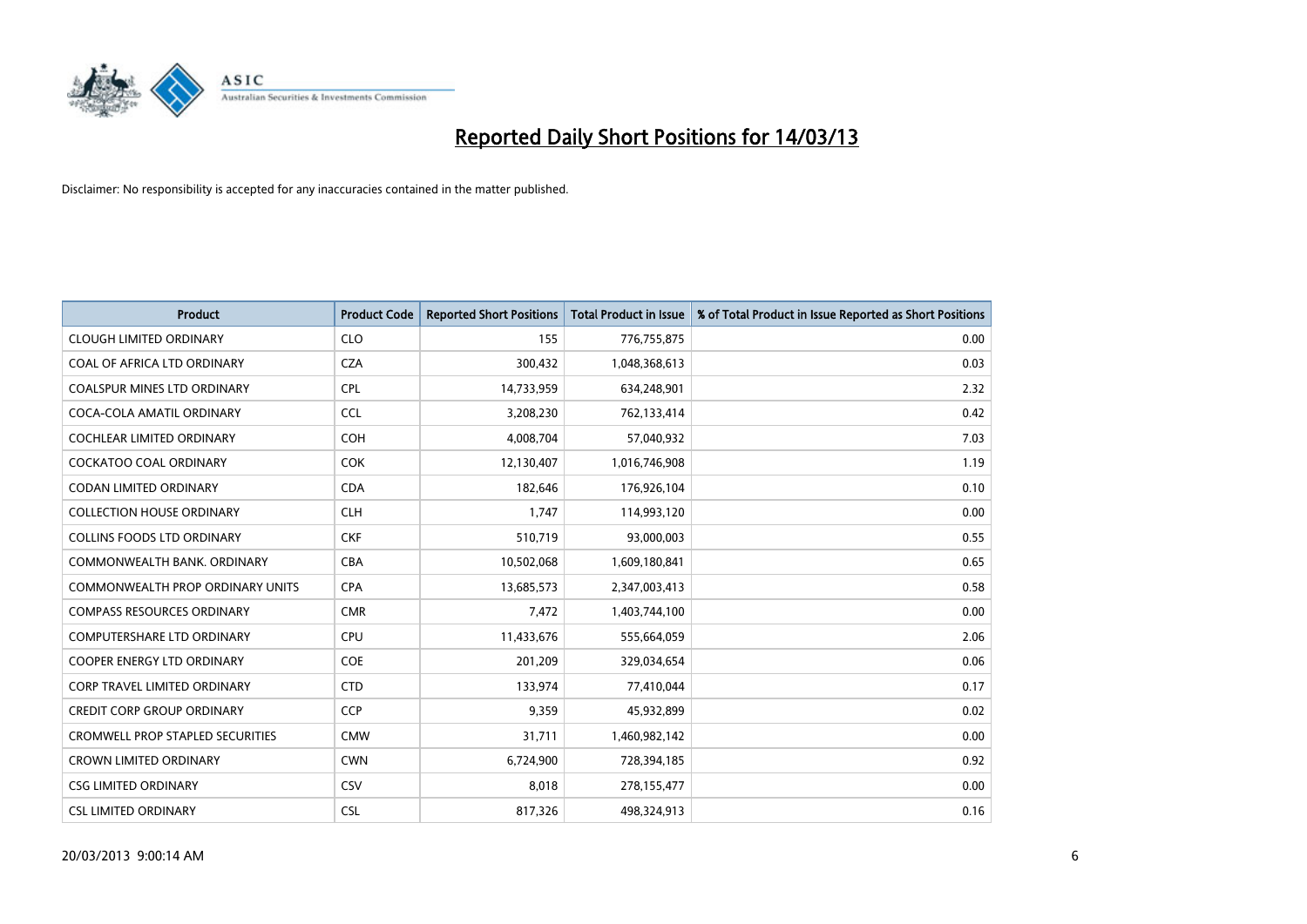

| <b>Product</b>                          | <b>Product Code</b> | <b>Reported Short Positions</b> | <b>Total Product in Issue</b> | % of Total Product in Issue Reported as Short Positions |
|-----------------------------------------|---------------------|---------------------------------|-------------------------------|---------------------------------------------------------|
| <b>CLOUGH LIMITED ORDINARY</b>          | <b>CLO</b>          | 155                             | 776,755,875                   | 0.00                                                    |
| COAL OF AFRICA LTD ORDINARY             | <b>CZA</b>          | 300,432                         | 1,048,368,613                 | 0.03                                                    |
| <b>COALSPUR MINES LTD ORDINARY</b>      | <b>CPL</b>          | 14,733,959                      | 634,248,901                   | 2.32                                                    |
| COCA-COLA AMATIL ORDINARY               | <b>CCL</b>          | 3,208,230                       | 762,133,414                   | 0.42                                                    |
| COCHLEAR LIMITED ORDINARY               | <b>COH</b>          | 4,008,704                       | 57,040,932                    | 7.03                                                    |
| <b>COCKATOO COAL ORDINARY</b>           | <b>COK</b>          | 12,130,407                      | 1,016,746,908                 | 1.19                                                    |
| <b>CODAN LIMITED ORDINARY</b>           | <b>CDA</b>          | 182.646                         | 176,926,104                   | 0.10                                                    |
| <b>COLLECTION HOUSE ORDINARY</b>        | <b>CLH</b>          | 1,747                           | 114,993,120                   | 0.00                                                    |
| <b>COLLINS FOODS LTD ORDINARY</b>       | <b>CKF</b>          | 510,719                         | 93,000,003                    | 0.55                                                    |
| COMMONWEALTH BANK, ORDINARY             | <b>CBA</b>          | 10,502,068                      | 1,609,180,841                 | 0.65                                                    |
| <b>COMMONWEALTH PROP ORDINARY UNITS</b> | <b>CPA</b>          | 13,685,573                      | 2,347,003,413                 | 0.58                                                    |
| <b>COMPASS RESOURCES ORDINARY</b>       | <b>CMR</b>          | 7,472                           | 1,403,744,100                 | 0.00                                                    |
| <b>COMPUTERSHARE LTD ORDINARY</b>       | CPU                 | 11,433,676                      | 555,664,059                   | 2.06                                                    |
| <b>COOPER ENERGY LTD ORDINARY</b>       | <b>COE</b>          | 201,209                         | 329,034,654                   | 0.06                                                    |
| <b>CORP TRAVEL LIMITED ORDINARY</b>     | <b>CTD</b>          | 133,974                         | 77,410,044                    | 0.17                                                    |
| <b>CREDIT CORP GROUP ORDINARY</b>       | <b>CCP</b>          | 9,359                           | 45,932,899                    | 0.02                                                    |
| <b>CROMWELL PROP STAPLED SECURITIES</b> | <b>CMW</b>          | 31,711                          | 1,460,982,142                 | 0.00                                                    |
| <b>CROWN LIMITED ORDINARY</b>           | <b>CWN</b>          | 6,724,900                       | 728,394,185                   | 0.92                                                    |
| <b>CSG LIMITED ORDINARY</b>             | CSV                 | 8,018                           | 278,155,477                   | 0.00                                                    |
| <b>CSL LIMITED ORDINARY</b>             | <b>CSL</b>          | 817,326                         | 498,324,913                   | 0.16                                                    |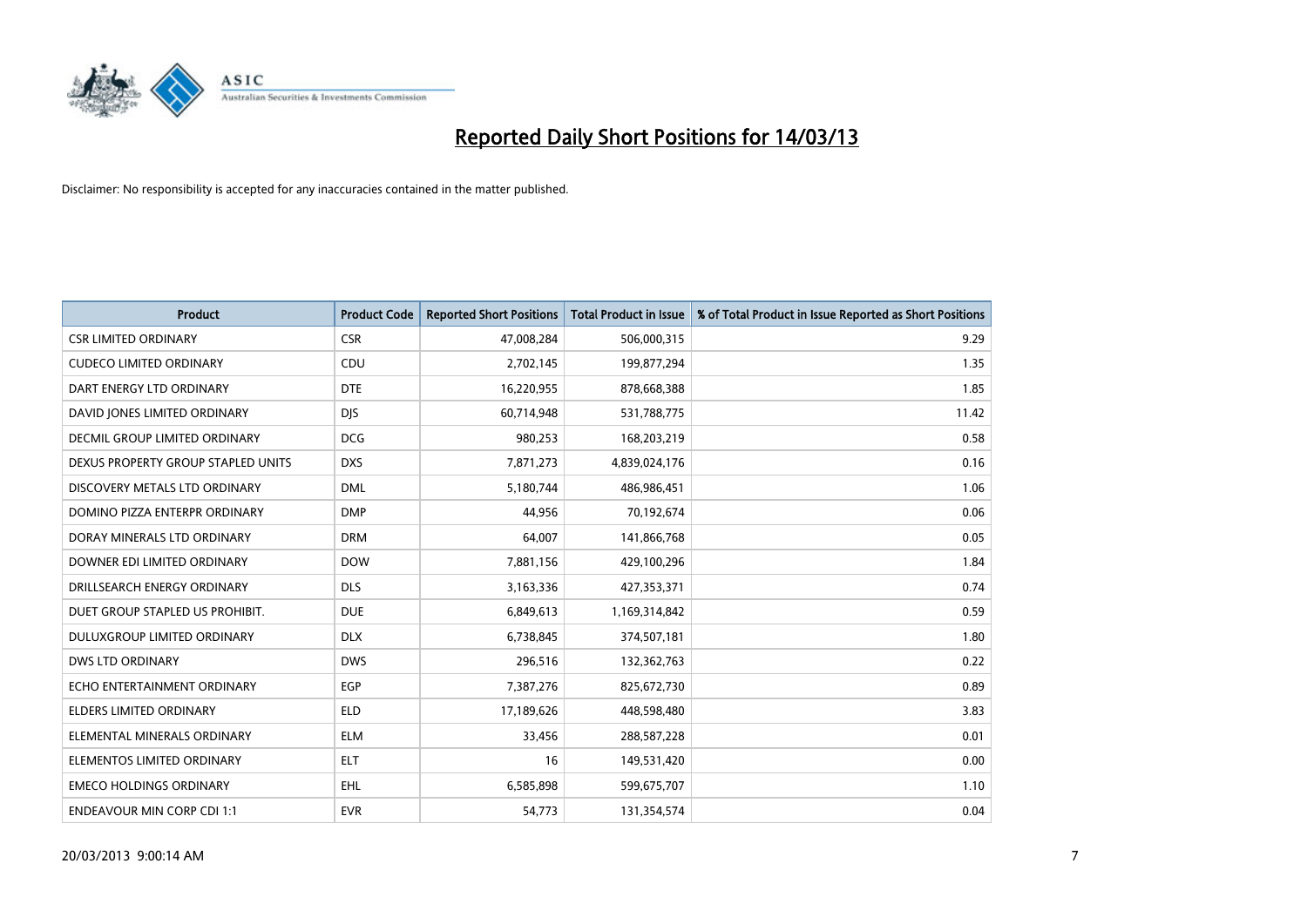

| <b>Product</b>                     | <b>Product Code</b> | <b>Reported Short Positions</b> | <b>Total Product in Issue</b> | % of Total Product in Issue Reported as Short Positions |
|------------------------------------|---------------------|---------------------------------|-------------------------------|---------------------------------------------------------|
| <b>CSR LIMITED ORDINARY</b>        | <b>CSR</b>          | 47,008,284                      | 506,000,315                   | 9.29                                                    |
| <b>CUDECO LIMITED ORDINARY</b>     | CDU                 | 2,702,145                       | 199,877,294                   | 1.35                                                    |
| DART ENERGY LTD ORDINARY           | <b>DTE</b>          | 16,220,955                      | 878,668,388                   | 1.85                                                    |
| DAVID JONES LIMITED ORDINARY       | <b>DJS</b>          | 60,714,948                      | 531,788,775                   | 11.42                                                   |
| DECMIL GROUP LIMITED ORDINARY      | <b>DCG</b>          | 980,253                         | 168,203,219                   | 0.58                                                    |
| DEXUS PROPERTY GROUP STAPLED UNITS | <b>DXS</b>          | 7,871,273                       | 4,839,024,176                 | 0.16                                                    |
| DISCOVERY METALS LTD ORDINARY      | <b>DML</b>          | 5,180,744                       | 486,986,451                   | 1.06                                                    |
| DOMINO PIZZA ENTERPR ORDINARY      | <b>DMP</b>          | 44,956                          | 70,192,674                    | 0.06                                                    |
| DORAY MINERALS LTD ORDINARY        | <b>DRM</b>          | 64,007                          | 141,866,768                   | 0.05                                                    |
| DOWNER EDI LIMITED ORDINARY        | <b>DOW</b>          | 7,881,156                       | 429,100,296                   | 1.84                                                    |
| DRILLSEARCH ENERGY ORDINARY        | <b>DLS</b>          | 3,163,336                       | 427,353,371                   | 0.74                                                    |
| DUET GROUP STAPLED US PROHIBIT.    | <b>DUE</b>          | 6,849,613                       | 1,169,314,842                 | 0.59                                                    |
| DULUXGROUP LIMITED ORDINARY        | <b>DLX</b>          | 6,738,845                       | 374,507,181                   | 1.80                                                    |
| DWS LTD ORDINARY                   | <b>DWS</b>          | 296,516                         | 132,362,763                   | 0.22                                                    |
| ECHO ENTERTAINMENT ORDINARY        | EGP                 | 7,387,276                       | 825,672,730                   | 0.89                                                    |
| ELDERS LIMITED ORDINARY            | <b>ELD</b>          | 17,189,626                      | 448,598,480                   | 3.83                                                    |
| ELEMENTAL MINERALS ORDINARY        | <b>ELM</b>          | 33,456                          | 288,587,228                   | 0.01                                                    |
| ELEMENTOS LIMITED ORDINARY         | <b>ELT</b>          | 16                              | 149,531,420                   | 0.00                                                    |
| <b>EMECO HOLDINGS ORDINARY</b>     | <b>EHL</b>          | 6,585,898                       | 599,675,707                   | 1.10                                                    |
| <b>ENDEAVOUR MIN CORP CDI 1:1</b>  | <b>EVR</b>          | 54,773                          | 131,354,574                   | 0.04                                                    |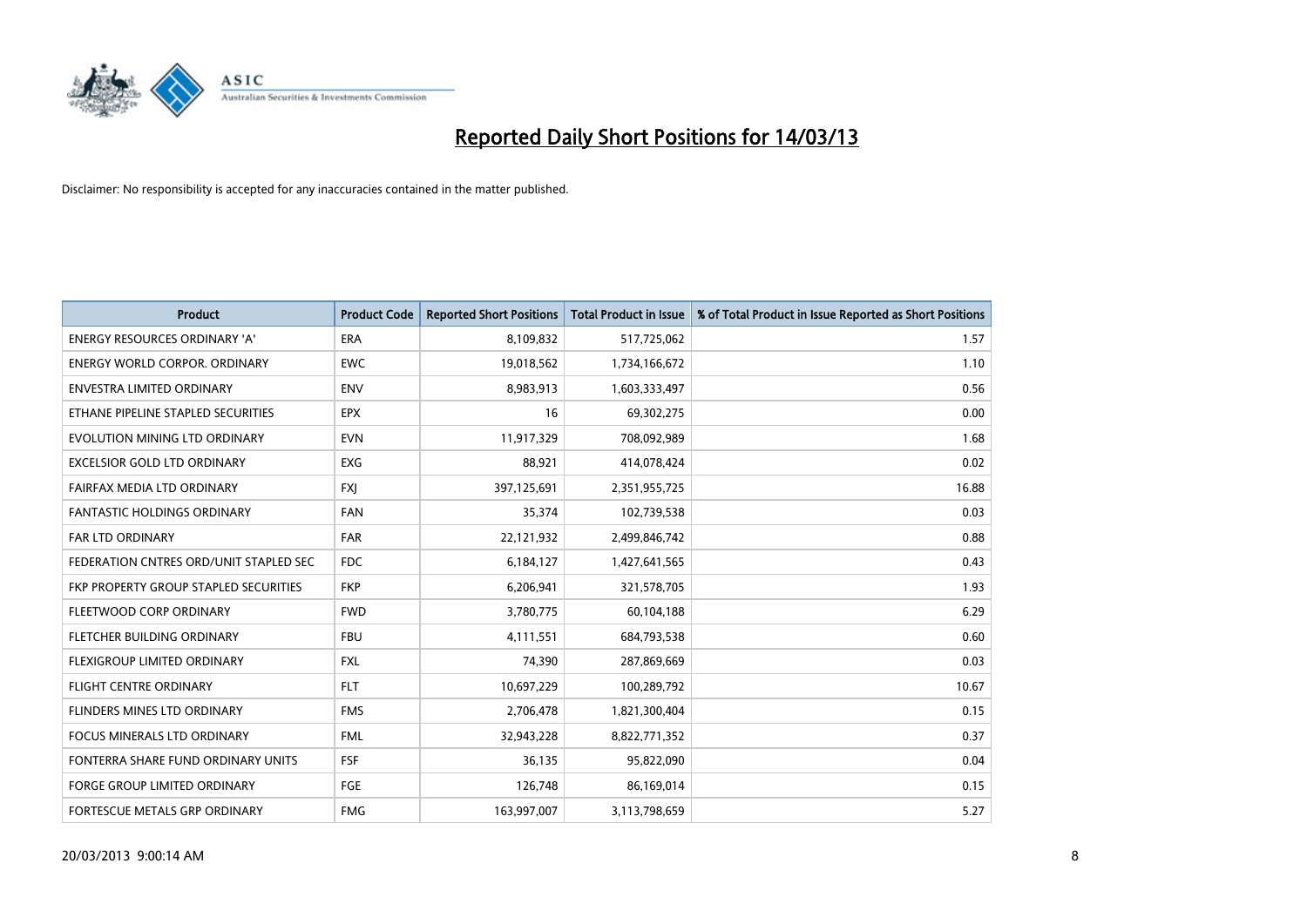

| <b>Product</b>                         | <b>Product Code</b> | <b>Reported Short Positions</b> | <b>Total Product in Issue</b> | % of Total Product in Issue Reported as Short Positions |
|----------------------------------------|---------------------|---------------------------------|-------------------------------|---------------------------------------------------------|
| <b>ENERGY RESOURCES ORDINARY 'A'</b>   | <b>ERA</b>          | 8,109,832                       | 517,725,062                   | 1.57                                                    |
| <b>ENERGY WORLD CORPOR. ORDINARY</b>   | <b>EWC</b>          | 19,018,562                      | 1,734,166,672                 | 1.10                                                    |
| <b>ENVESTRA LIMITED ORDINARY</b>       | <b>ENV</b>          | 8,983,913                       | 1,603,333,497                 | 0.56                                                    |
| ETHANE PIPELINE STAPLED SECURITIES     | <b>EPX</b>          | 16                              | 69,302,275                    | 0.00                                                    |
| EVOLUTION MINING LTD ORDINARY          | <b>EVN</b>          | 11,917,329                      | 708,092,989                   | 1.68                                                    |
| <b>EXCELSIOR GOLD LTD ORDINARY</b>     | <b>EXG</b>          | 88,921                          | 414,078,424                   | 0.02                                                    |
| FAIRFAX MEDIA LTD ORDINARY             | <b>FXI</b>          | 397,125,691                     | 2,351,955,725                 | 16.88                                                   |
| <b>FANTASTIC HOLDINGS ORDINARY</b>     | <b>FAN</b>          | 35,374                          | 102,739,538                   | 0.03                                                    |
| FAR LTD ORDINARY                       | <b>FAR</b>          | 22,121,932                      | 2,499,846,742                 | 0.88                                                    |
| FEDERATION CNTRES ORD/UNIT STAPLED SEC | <b>FDC</b>          | 6,184,127                       | 1,427,641,565                 | 0.43                                                    |
| FKP PROPERTY GROUP STAPLED SECURITIES  | <b>FKP</b>          | 6,206,941                       | 321,578,705                   | 1.93                                                    |
| FLEETWOOD CORP ORDINARY                | <b>FWD</b>          | 3,780,775                       | 60,104,188                    | 6.29                                                    |
| FLETCHER BUILDING ORDINARY             | <b>FBU</b>          | 4,111,551                       | 684,793,538                   | 0.60                                                    |
| <b>FLEXIGROUP LIMITED ORDINARY</b>     | <b>FXL</b>          | 74,390                          | 287,869,669                   | 0.03                                                    |
| <b>FLIGHT CENTRE ORDINARY</b>          | <b>FLT</b>          | 10,697,229                      | 100,289,792                   | 10.67                                                   |
| FLINDERS MINES LTD ORDINARY            | <b>FMS</b>          | 2,706,478                       | 1,821,300,404                 | 0.15                                                    |
| <b>FOCUS MINERALS LTD ORDINARY</b>     | <b>FML</b>          | 32,943,228                      | 8,822,771,352                 | 0.37                                                    |
| FONTERRA SHARE FUND ORDINARY UNITS     | FSF                 | 36,135                          | 95,822,090                    | 0.04                                                    |
| <b>FORGE GROUP LIMITED ORDINARY</b>    | FGE                 | 126,748                         | 86,169,014                    | 0.15                                                    |
| FORTESCUE METALS GRP ORDINARY          | <b>FMG</b>          | 163,997,007                     | 3,113,798,659                 | 5.27                                                    |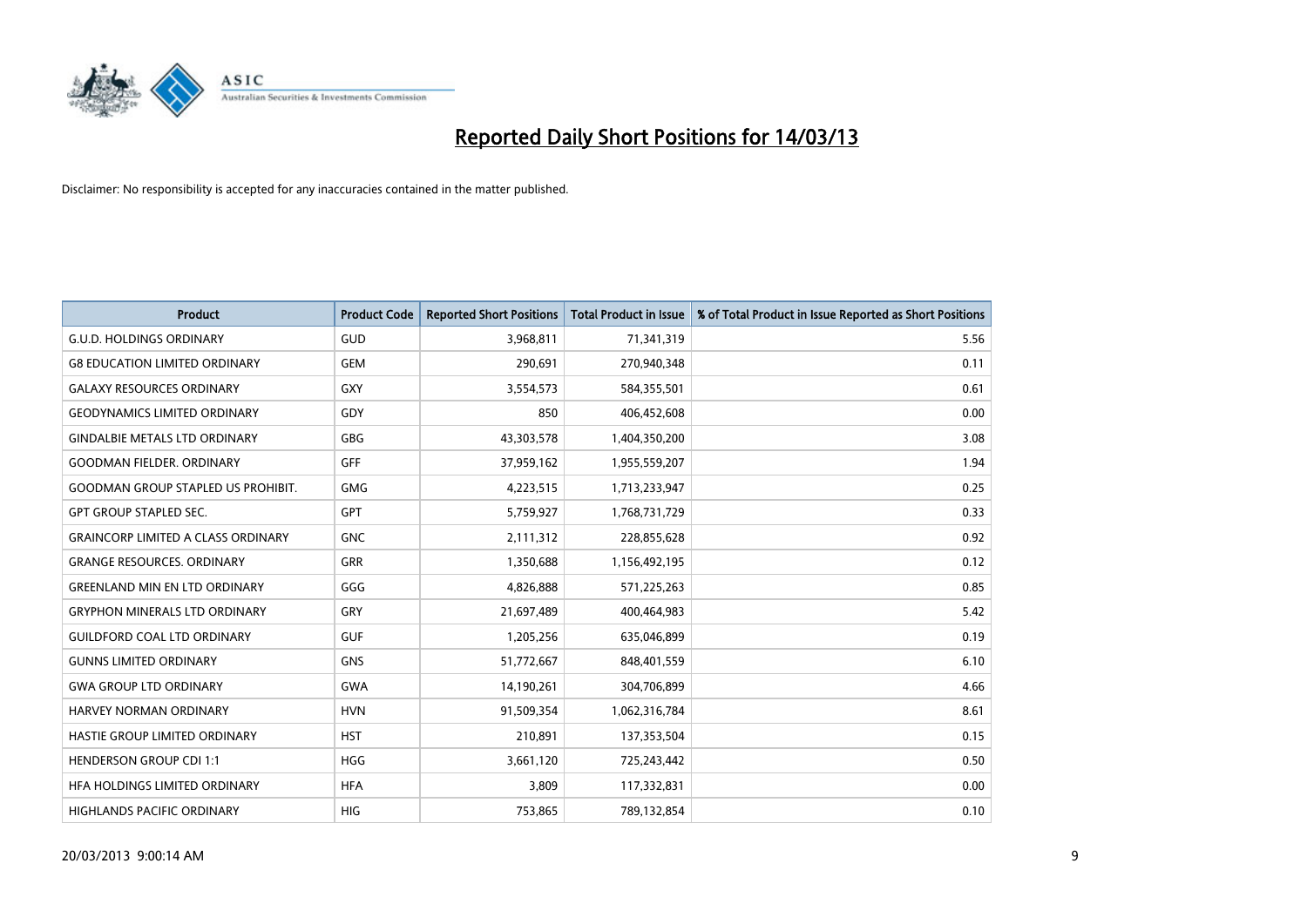

| <b>Product</b>                            | <b>Product Code</b> | <b>Reported Short Positions</b> | <b>Total Product in Issue</b> | % of Total Product in Issue Reported as Short Positions |
|-------------------------------------------|---------------------|---------------------------------|-------------------------------|---------------------------------------------------------|
| <b>G.U.D. HOLDINGS ORDINARY</b>           | GUD                 | 3,968,811                       | 71,341,319                    | 5.56                                                    |
| <b>G8 EDUCATION LIMITED ORDINARY</b>      | <b>GEM</b>          | 290,691                         | 270,940,348                   | 0.11                                                    |
| <b>GALAXY RESOURCES ORDINARY</b>          | <b>GXY</b>          | 3,554,573                       | 584,355,501                   | 0.61                                                    |
| <b>GEODYNAMICS LIMITED ORDINARY</b>       | GDY                 | 850                             | 406,452,608                   | 0.00                                                    |
| <b>GINDALBIE METALS LTD ORDINARY</b>      | <b>GBG</b>          | 43,303,578                      | 1,404,350,200                 | 3.08                                                    |
| <b>GOODMAN FIELDER, ORDINARY</b>          | GFF                 | 37,959,162                      | 1,955,559,207                 | 1.94                                                    |
| <b>GOODMAN GROUP STAPLED US PROHIBIT.</b> | <b>GMG</b>          | 4,223,515                       | 1,713,233,947                 | 0.25                                                    |
| <b>GPT GROUP STAPLED SEC.</b>             | <b>GPT</b>          | 5,759,927                       | 1,768,731,729                 | 0.33                                                    |
| <b>GRAINCORP LIMITED A CLASS ORDINARY</b> | <b>GNC</b>          | 2,111,312                       | 228,855,628                   | 0.92                                                    |
| <b>GRANGE RESOURCES, ORDINARY</b>         | <b>GRR</b>          | 1,350,688                       | 1,156,492,195                 | 0.12                                                    |
| <b>GREENLAND MIN EN LTD ORDINARY</b>      | GGG                 | 4,826,888                       | 571,225,263                   | 0.85                                                    |
| <b>GRYPHON MINERALS LTD ORDINARY</b>      | GRY                 | 21,697,489                      | 400,464,983                   | 5.42                                                    |
| <b>GUILDFORD COAL LTD ORDINARY</b>        | <b>GUF</b>          | 1,205,256                       | 635,046,899                   | 0.19                                                    |
| <b>GUNNS LIMITED ORDINARY</b>             | <b>GNS</b>          | 51,772,667                      | 848,401,559                   | 6.10                                                    |
| <b>GWA GROUP LTD ORDINARY</b>             | <b>GWA</b>          | 14,190,261                      | 304,706,899                   | 4.66                                                    |
| HARVEY NORMAN ORDINARY                    | <b>HVN</b>          | 91,509,354                      | 1,062,316,784                 | 8.61                                                    |
| HASTIE GROUP LIMITED ORDINARY             | <b>HST</b>          | 210,891                         | 137,353,504                   | 0.15                                                    |
| <b>HENDERSON GROUP CDI 1:1</b>            | <b>HGG</b>          | 3,661,120                       | 725,243,442                   | 0.50                                                    |
| HFA HOLDINGS LIMITED ORDINARY             | <b>HFA</b>          | 3,809                           | 117,332,831                   | 0.00                                                    |
| HIGHLANDS PACIFIC ORDINARY                | <b>HIG</b>          | 753,865                         | 789,132,854                   | 0.10                                                    |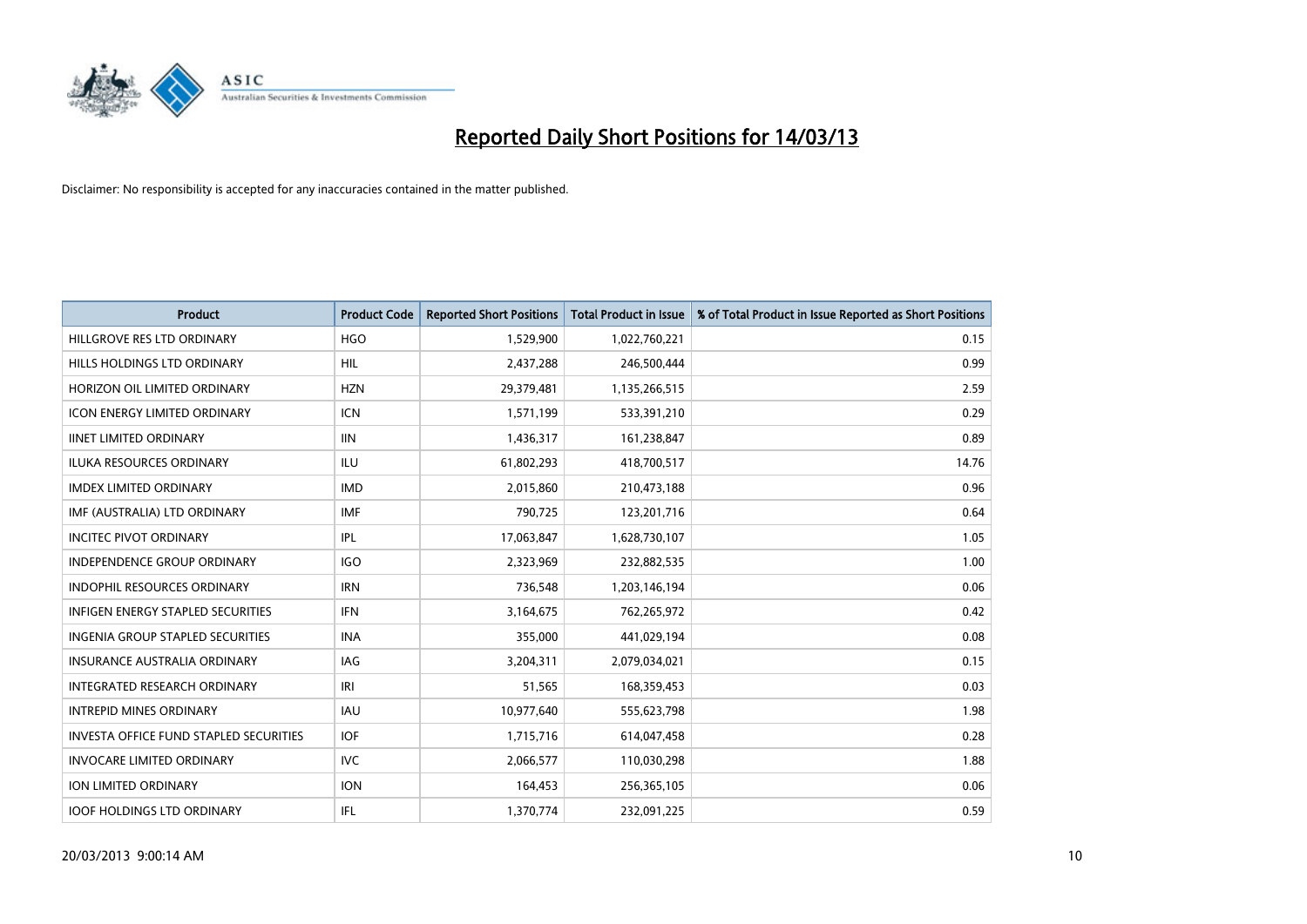

| <b>Product</b>                                | <b>Product Code</b> | <b>Reported Short Positions</b> | <b>Total Product in Issue</b> | % of Total Product in Issue Reported as Short Positions |
|-----------------------------------------------|---------------------|---------------------------------|-------------------------------|---------------------------------------------------------|
| HILLGROVE RES LTD ORDINARY                    | <b>HGO</b>          | 1,529,900                       | 1,022,760,221                 | 0.15                                                    |
| HILLS HOLDINGS LTD ORDINARY                   | <b>HIL</b>          | 2,437,288                       | 246,500,444                   | 0.99                                                    |
| HORIZON OIL LIMITED ORDINARY                  | <b>HZN</b>          | 29,379,481                      | 1,135,266,515                 | 2.59                                                    |
| <b>ICON ENERGY LIMITED ORDINARY</b>           | <b>ICN</b>          | 1,571,199                       | 533,391,210                   | 0.29                                                    |
| <b>IINET LIMITED ORDINARY</b>                 | <b>IIN</b>          | 1,436,317                       | 161,238,847                   | 0.89                                                    |
| <b>ILUKA RESOURCES ORDINARY</b>               | ILU                 | 61,802,293                      | 418,700,517                   | 14.76                                                   |
| <b>IMDEX LIMITED ORDINARY</b>                 | <b>IMD</b>          | 2,015,860                       | 210,473,188                   | 0.96                                                    |
| IMF (AUSTRALIA) LTD ORDINARY                  | <b>IMF</b>          | 790,725                         | 123,201,716                   | 0.64                                                    |
| <b>INCITEC PIVOT ORDINARY</b>                 | IPL                 | 17,063,847                      | 1,628,730,107                 | 1.05                                                    |
| <b>INDEPENDENCE GROUP ORDINARY</b>            | <b>IGO</b>          | 2,323,969                       | 232,882,535                   | 1.00                                                    |
| INDOPHIL RESOURCES ORDINARY                   | <b>IRN</b>          | 736,548                         | 1,203,146,194                 | 0.06                                                    |
| <b>INFIGEN ENERGY STAPLED SECURITIES</b>      | <b>IFN</b>          | 3,164,675                       | 762,265,972                   | 0.42                                                    |
| <b>INGENIA GROUP STAPLED SECURITIES</b>       | <b>INA</b>          | 355,000                         | 441,029,194                   | 0.08                                                    |
| <b>INSURANCE AUSTRALIA ORDINARY</b>           | IAG                 | 3,204,311                       | 2,079,034,021                 | 0.15                                                    |
| <b>INTEGRATED RESEARCH ORDINARY</b>           | IRI                 | 51,565                          | 168,359,453                   | 0.03                                                    |
| <b>INTREPID MINES ORDINARY</b>                | <b>IAU</b>          | 10,977,640                      | 555,623,798                   | 1.98                                                    |
| <b>INVESTA OFFICE FUND STAPLED SECURITIES</b> | <b>IOF</b>          | 1,715,716                       | 614,047,458                   | 0.28                                                    |
| <b>INVOCARE LIMITED ORDINARY</b>              | IVC                 | 2,066,577                       | 110,030,298                   | 1.88                                                    |
| <b>ION LIMITED ORDINARY</b>                   | <b>ION</b>          | 164,453                         | 256,365,105                   | 0.06                                                    |
| <b>IOOF HOLDINGS LTD ORDINARY</b>             | <b>IFL</b>          | 1,370,774                       | 232,091,225                   | 0.59                                                    |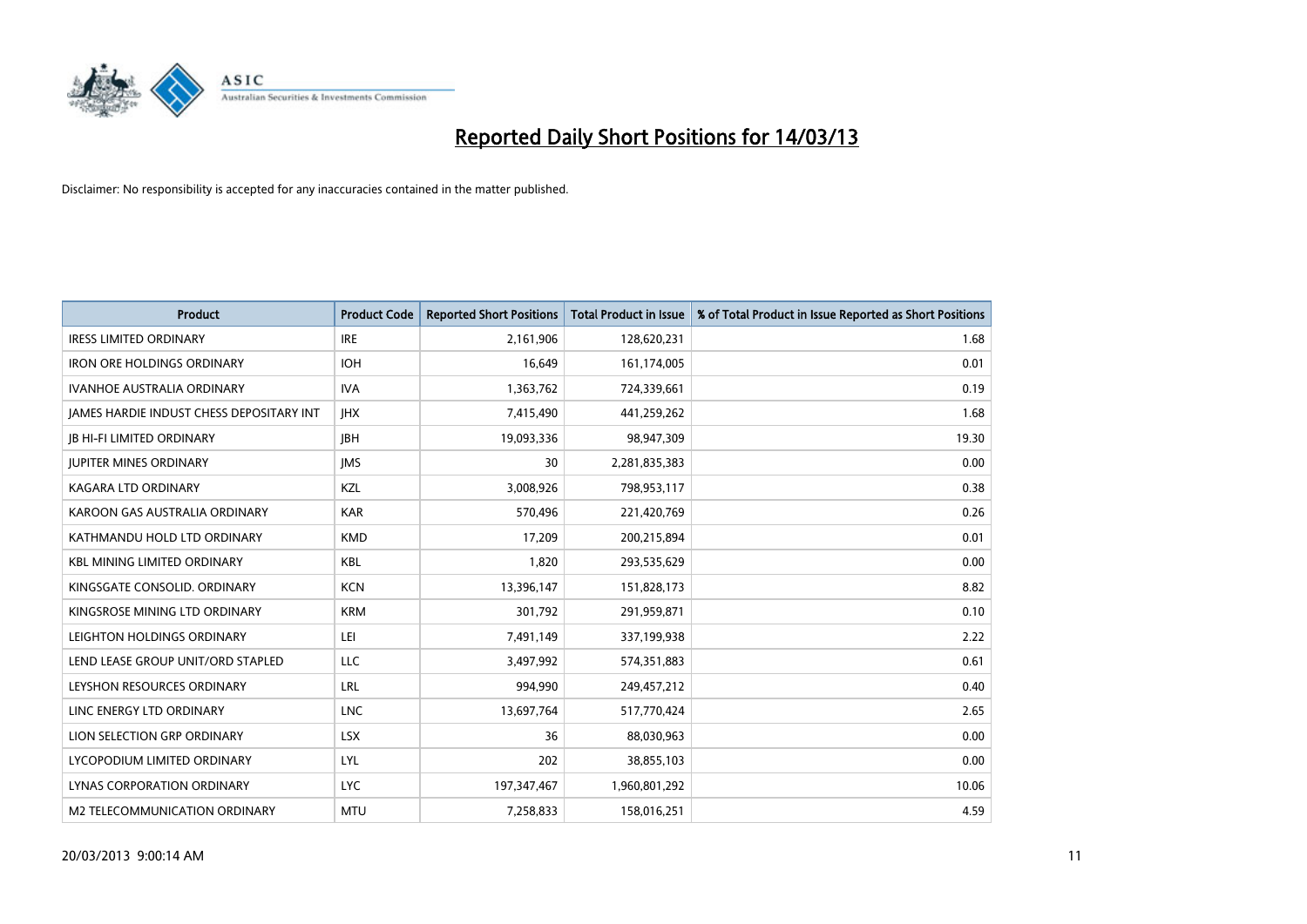

| <b>Product</b>                           | <b>Product Code</b> | <b>Reported Short Positions</b> | <b>Total Product in Issue</b> | % of Total Product in Issue Reported as Short Positions |
|------------------------------------------|---------------------|---------------------------------|-------------------------------|---------------------------------------------------------|
| <b>IRESS LIMITED ORDINARY</b>            | <b>IRE</b>          | 2,161,906                       | 128,620,231                   | 1.68                                                    |
| <b>IRON ORE HOLDINGS ORDINARY</b>        | <b>IOH</b>          | 16,649                          | 161,174,005                   | 0.01                                                    |
| <b>IVANHOE AUSTRALIA ORDINARY</b>        | <b>IVA</b>          | 1,363,762                       | 724,339,661                   | 0.19                                                    |
| JAMES HARDIE INDUST CHESS DEPOSITARY INT | <b>IHX</b>          | 7,415,490                       | 441,259,262                   | 1.68                                                    |
| <b>IB HI-FI LIMITED ORDINARY</b>         | <b>IBH</b>          | 19,093,336                      | 98,947,309                    | 19.30                                                   |
| <b>JUPITER MINES ORDINARY</b>            | <b>IMS</b>          | 30                              | 2,281,835,383                 | 0.00                                                    |
| <b>KAGARA LTD ORDINARY</b>               | <b>KZL</b>          | 3,008,926                       | 798,953,117                   | 0.38                                                    |
| KAROON GAS AUSTRALIA ORDINARY            | <b>KAR</b>          | 570,496                         | 221,420,769                   | 0.26                                                    |
| KATHMANDU HOLD LTD ORDINARY              | <b>KMD</b>          | 17,209                          | 200,215,894                   | 0.01                                                    |
| <b>KBL MINING LIMITED ORDINARY</b>       | <b>KBL</b>          | 1,820                           | 293,535,629                   | 0.00                                                    |
| KINGSGATE CONSOLID. ORDINARY             | <b>KCN</b>          | 13,396,147                      | 151,828,173                   | 8.82                                                    |
| KINGSROSE MINING LTD ORDINARY            | <b>KRM</b>          | 301,792                         | 291,959,871                   | 0.10                                                    |
| LEIGHTON HOLDINGS ORDINARY               | LEI                 | 7,491,149                       | 337,199,938                   | 2.22                                                    |
| LEND LEASE GROUP UNIT/ORD STAPLED        | LLC                 | 3,497,992                       | 574,351,883                   | 0.61                                                    |
| LEYSHON RESOURCES ORDINARY               | LRL                 | 994,990                         | 249,457,212                   | 0.40                                                    |
| LINC ENERGY LTD ORDINARY                 | <b>LNC</b>          | 13,697,764                      | 517,770,424                   | 2.65                                                    |
| LION SELECTION GRP ORDINARY              | <b>LSX</b>          | 36                              | 88,030,963                    | 0.00                                                    |
| LYCOPODIUM LIMITED ORDINARY              | LYL                 | 202                             | 38,855,103                    | 0.00                                                    |
| <b>LYNAS CORPORATION ORDINARY</b>        | <b>LYC</b>          | 197, 347, 467                   | 1,960,801,292                 | 10.06                                                   |
| M2 TELECOMMUNICATION ORDINARY            | <b>MTU</b>          | 7,258,833                       | 158,016,251                   | 4.59                                                    |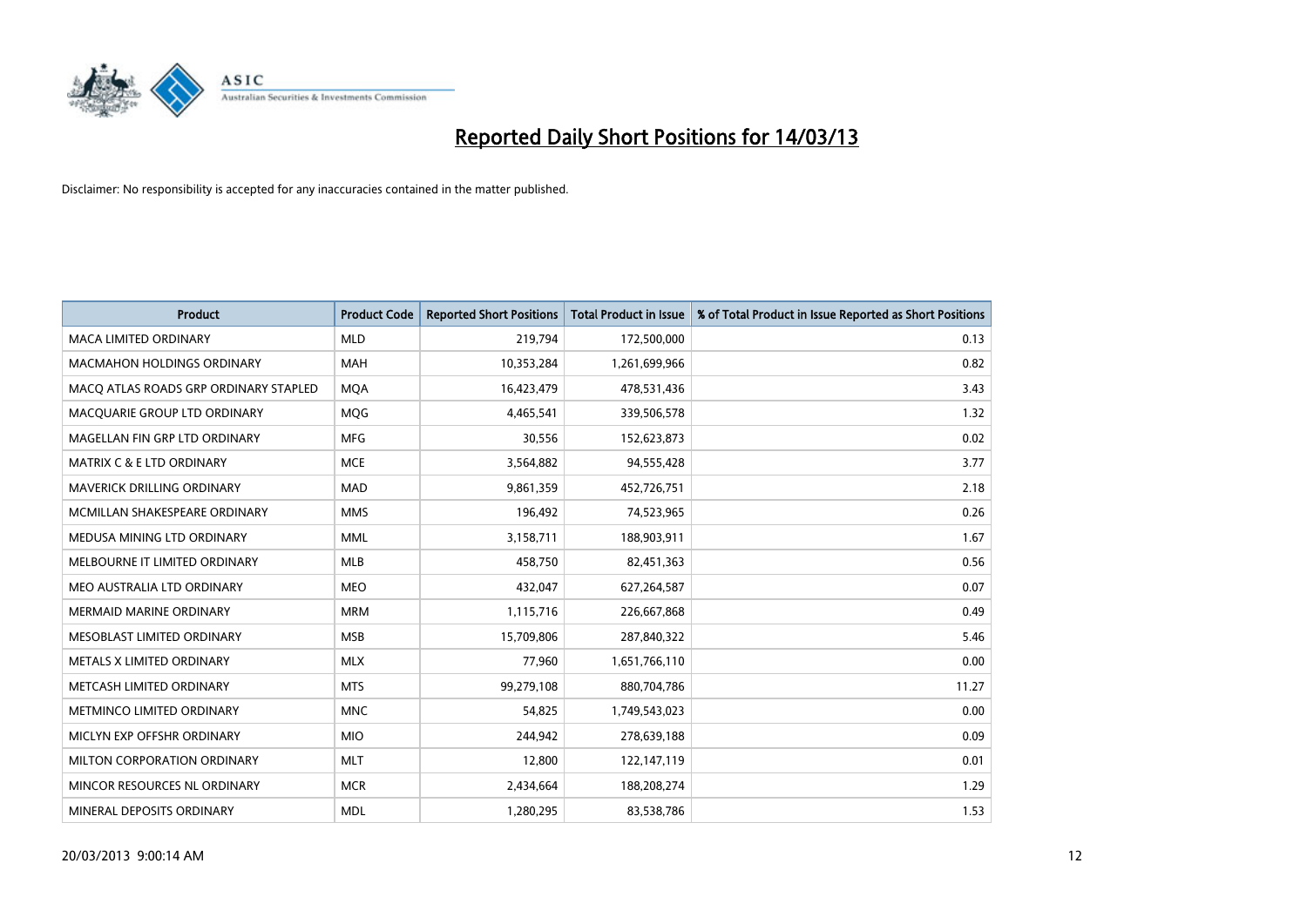

| <b>Product</b>                        | <b>Product Code</b> | <b>Reported Short Positions</b> | <b>Total Product in Issue</b> | % of Total Product in Issue Reported as Short Positions |
|---------------------------------------|---------------------|---------------------------------|-------------------------------|---------------------------------------------------------|
| <b>MACA LIMITED ORDINARY</b>          | <b>MLD</b>          | 219,794                         | 172,500,000                   | 0.13                                                    |
| <b>MACMAHON HOLDINGS ORDINARY</b>     | <b>MAH</b>          | 10,353,284                      | 1,261,699,966                 | 0.82                                                    |
| MACO ATLAS ROADS GRP ORDINARY STAPLED | <b>MOA</b>          | 16,423,479                      | 478,531,436                   | 3.43                                                    |
| MACQUARIE GROUP LTD ORDINARY          | MQG                 | 4,465,541                       | 339,506,578                   | 1.32                                                    |
| MAGELLAN FIN GRP LTD ORDINARY         | <b>MFG</b>          | 30,556                          | 152,623,873                   | 0.02                                                    |
| <b>MATRIX C &amp; E LTD ORDINARY</b>  | <b>MCE</b>          | 3,564,882                       | 94,555,428                    | 3.77                                                    |
| <b>MAVERICK DRILLING ORDINARY</b>     | <b>MAD</b>          | 9,861,359                       | 452,726,751                   | 2.18                                                    |
| MCMILLAN SHAKESPEARE ORDINARY         | <b>MMS</b>          | 196,492                         | 74,523,965                    | 0.26                                                    |
| MEDUSA MINING LTD ORDINARY            | <b>MML</b>          | 3,158,711                       | 188,903,911                   | 1.67                                                    |
| MELBOURNE IT LIMITED ORDINARY         | <b>MLB</b>          | 458,750                         | 82,451,363                    | 0.56                                                    |
| MEO AUSTRALIA LTD ORDINARY            | <b>MEO</b>          | 432,047                         | 627,264,587                   | 0.07                                                    |
| <b>MERMAID MARINE ORDINARY</b>        | <b>MRM</b>          | 1,115,716                       | 226,667,868                   | 0.49                                                    |
| MESOBLAST LIMITED ORDINARY            | <b>MSB</b>          | 15,709,806                      | 287,840,322                   | 5.46                                                    |
| METALS X LIMITED ORDINARY             | <b>MLX</b>          | 77,960                          | 1,651,766,110                 | 0.00                                                    |
| METCASH LIMITED ORDINARY              | <b>MTS</b>          | 99,279,108                      | 880,704,786                   | 11.27                                                   |
| METMINCO LIMITED ORDINARY             | <b>MNC</b>          | 54,825                          | 1,749,543,023                 | 0.00                                                    |
| MICLYN EXP OFFSHR ORDINARY            | <b>MIO</b>          | 244,942                         | 278,639,188                   | 0.09                                                    |
| MILTON CORPORATION ORDINARY           | <b>MLT</b>          | 12,800                          | 122,147,119                   | 0.01                                                    |
| MINCOR RESOURCES NL ORDINARY          | <b>MCR</b>          | 2,434,664                       | 188,208,274                   | 1.29                                                    |
| MINERAL DEPOSITS ORDINARY             | <b>MDL</b>          | 1,280,295                       | 83,538,786                    | 1.53                                                    |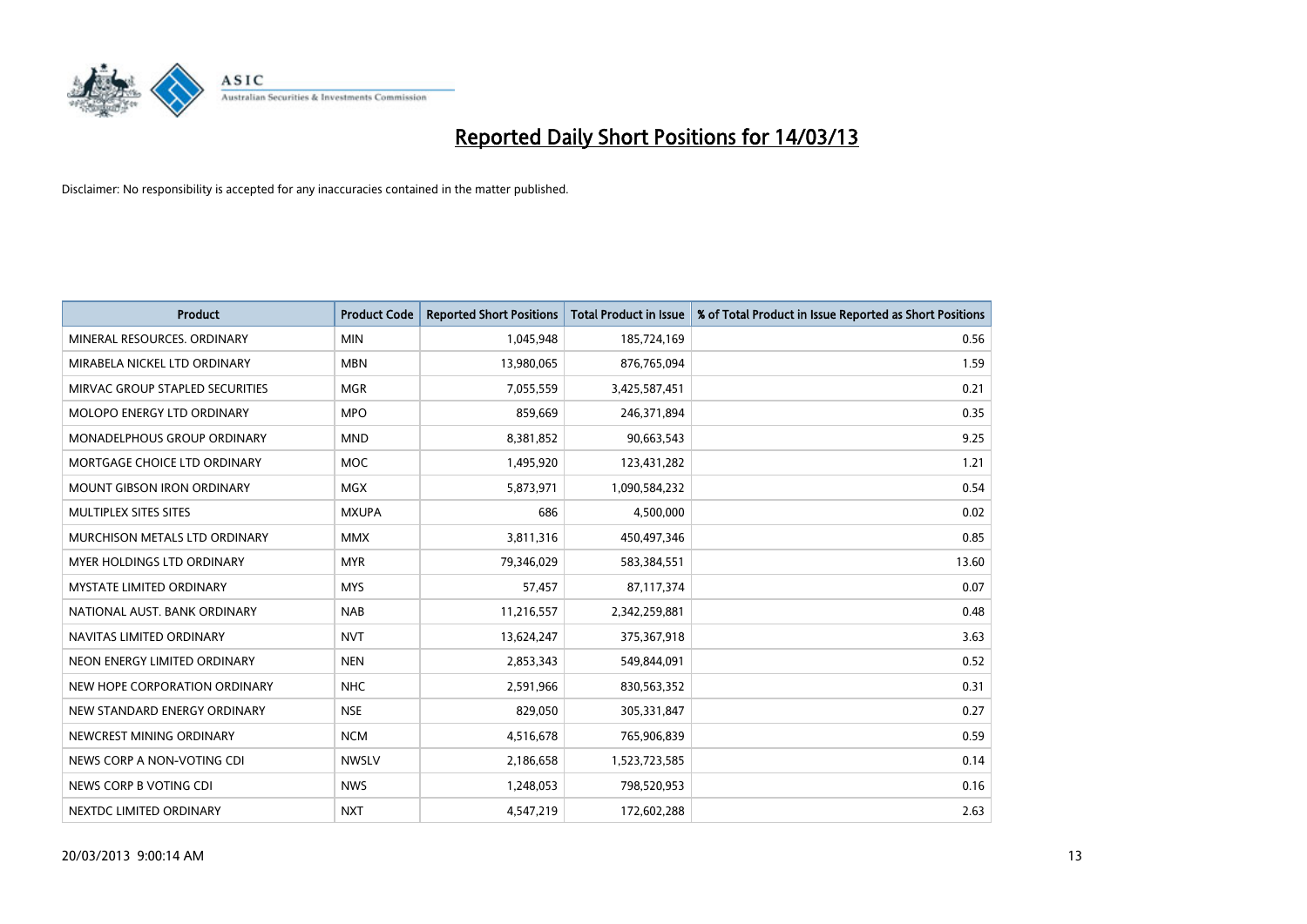

| <b>Product</b>                       | <b>Product Code</b> | <b>Reported Short Positions</b> | <b>Total Product in Issue</b> | % of Total Product in Issue Reported as Short Positions |
|--------------------------------------|---------------------|---------------------------------|-------------------------------|---------------------------------------------------------|
| MINERAL RESOURCES, ORDINARY          | <b>MIN</b>          | 1,045,948                       | 185,724,169                   | 0.56                                                    |
| MIRABELA NICKEL LTD ORDINARY         | <b>MBN</b>          | 13,980,065                      | 876,765,094                   | 1.59                                                    |
| MIRVAC GROUP STAPLED SECURITIES      | <b>MGR</b>          | 7,055,559                       | 3,425,587,451                 | 0.21                                                    |
| MOLOPO ENERGY LTD ORDINARY           | <b>MPO</b>          | 859,669                         | 246,371,894                   | 0.35                                                    |
| <b>MONADELPHOUS GROUP ORDINARY</b>   | <b>MND</b>          | 8,381,852                       | 90,663,543                    | 9.25                                                    |
| MORTGAGE CHOICE LTD ORDINARY         | <b>MOC</b>          | 1,495,920                       | 123,431,282                   | 1.21                                                    |
| <b>MOUNT GIBSON IRON ORDINARY</b>    | <b>MGX</b>          | 5,873,971                       | 1,090,584,232                 | 0.54                                                    |
| MULTIPLEX SITES SITES                | <b>MXUPA</b>        | 686                             | 4,500,000                     | 0.02                                                    |
| <b>MURCHISON METALS LTD ORDINARY</b> | <b>MMX</b>          | 3,811,316                       | 450,497,346                   | 0.85                                                    |
| <b>MYER HOLDINGS LTD ORDINARY</b>    | <b>MYR</b>          | 79,346,029                      | 583,384,551                   | 13.60                                                   |
| MYSTATE LIMITED ORDINARY             | <b>MYS</b>          | 57,457                          | 87,117,374                    | 0.07                                                    |
| NATIONAL AUST, BANK ORDINARY         | <b>NAB</b>          | 11,216,557                      | 2,342,259,881                 | 0.48                                                    |
| NAVITAS LIMITED ORDINARY             | <b>NVT</b>          | 13,624,247                      | 375,367,918                   | 3.63                                                    |
| NEON ENERGY LIMITED ORDINARY         | <b>NEN</b>          | 2,853,343                       | 549,844,091                   | 0.52                                                    |
| NEW HOPE CORPORATION ORDINARY        | <b>NHC</b>          | 2,591,966                       | 830,563,352                   | 0.31                                                    |
| NEW STANDARD ENERGY ORDINARY         | <b>NSE</b>          | 829,050                         | 305,331,847                   | 0.27                                                    |
| NEWCREST MINING ORDINARY             | <b>NCM</b>          | 4,516,678                       | 765,906,839                   | 0.59                                                    |
| NEWS CORP A NON-VOTING CDI           | <b>NWSLV</b>        | 2,186,658                       | 1,523,723,585                 | 0.14                                                    |
| NEWS CORP B VOTING CDI               | <b>NWS</b>          | 1,248,053                       | 798,520,953                   | 0.16                                                    |
| NEXTDC LIMITED ORDINARY              | <b>NXT</b>          | 4,547,219                       | 172,602,288                   | 2.63                                                    |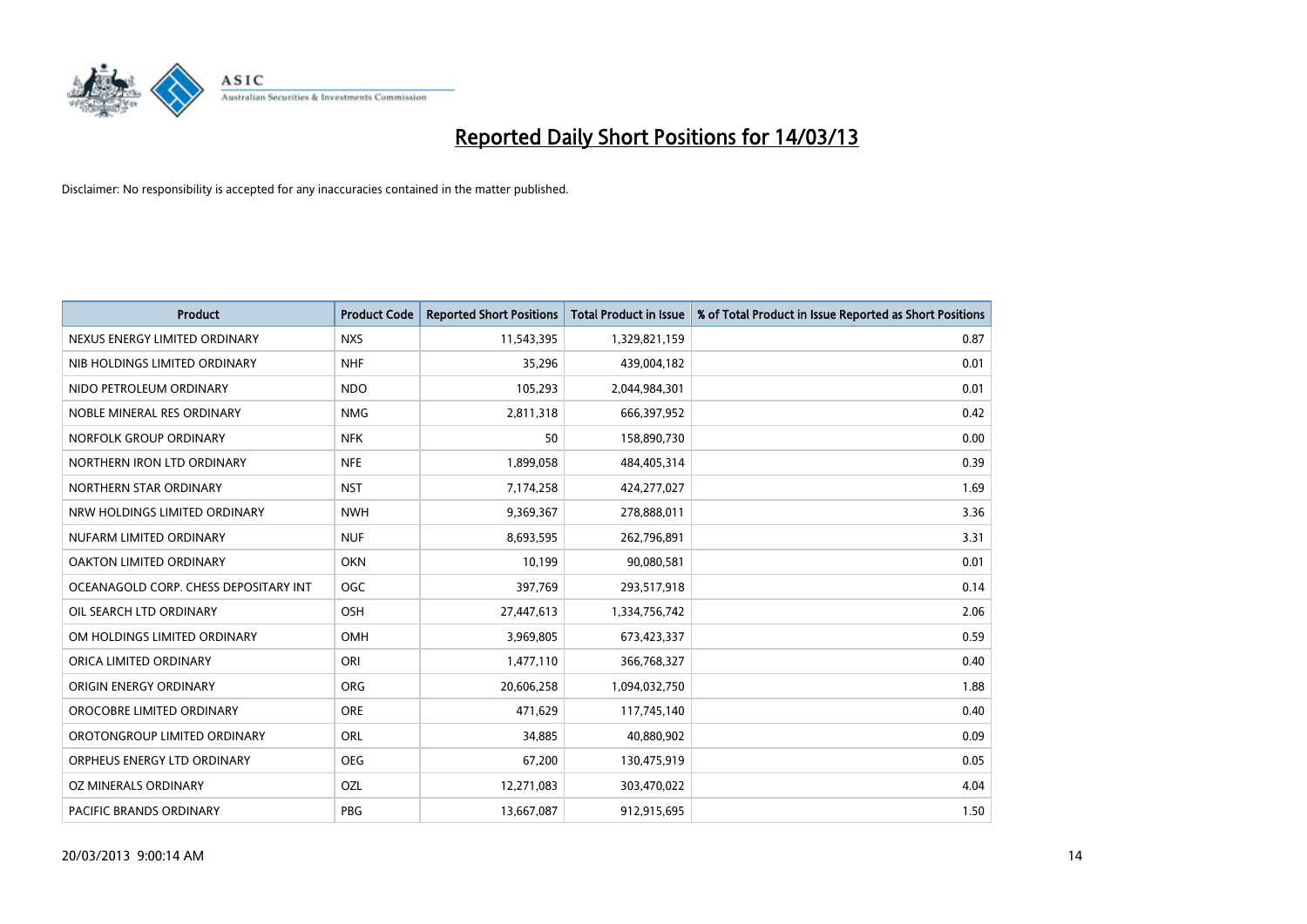

| <b>Product</b>                        | <b>Product Code</b> | <b>Reported Short Positions</b> | <b>Total Product in Issue</b> | % of Total Product in Issue Reported as Short Positions |
|---------------------------------------|---------------------|---------------------------------|-------------------------------|---------------------------------------------------------|
| NEXUS ENERGY LIMITED ORDINARY         | <b>NXS</b>          | 11,543,395                      | 1,329,821,159                 | 0.87                                                    |
| NIB HOLDINGS LIMITED ORDINARY         | <b>NHF</b>          | 35,296                          | 439,004,182                   | 0.01                                                    |
| NIDO PETROLEUM ORDINARY               | NDO                 | 105,293                         | 2,044,984,301                 | 0.01                                                    |
| NOBLE MINERAL RES ORDINARY            | <b>NMG</b>          | 2,811,318                       | 666,397,952                   | 0.42                                                    |
| NORFOLK GROUP ORDINARY                | <b>NFK</b>          | 50                              | 158,890,730                   | 0.00                                                    |
| NORTHERN IRON LTD ORDINARY            | <b>NFE</b>          | 1,899,058                       | 484,405,314                   | 0.39                                                    |
| NORTHERN STAR ORDINARY                | <b>NST</b>          | 7,174,258                       | 424,277,027                   | 1.69                                                    |
| NRW HOLDINGS LIMITED ORDINARY         | <b>NWH</b>          | 9,369,367                       | 278,888,011                   | 3.36                                                    |
| NUFARM LIMITED ORDINARY               | <b>NUF</b>          | 8,693,595                       | 262,796,891                   | 3.31                                                    |
| OAKTON LIMITED ORDINARY               | <b>OKN</b>          | 10,199                          | 90,080,581                    | 0.01                                                    |
| OCEANAGOLD CORP. CHESS DEPOSITARY INT | OGC                 | 397,769                         | 293,517,918                   | 0.14                                                    |
| OIL SEARCH LTD ORDINARY               | OSH                 | 27,447,613                      | 1,334,756,742                 | 2.06                                                    |
| OM HOLDINGS LIMITED ORDINARY          | OMH                 | 3,969,805                       | 673,423,337                   | 0.59                                                    |
| ORICA LIMITED ORDINARY                | ORI                 | 1,477,110                       | 366,768,327                   | 0.40                                                    |
| ORIGIN ENERGY ORDINARY                | <b>ORG</b>          | 20,606,258                      | 1,094,032,750                 | 1.88                                                    |
| OROCOBRE LIMITED ORDINARY             | <b>ORE</b>          | 471.629                         | 117,745,140                   | 0.40                                                    |
| OROTONGROUP LIMITED ORDINARY          | ORL                 | 34,885                          | 40,880,902                    | 0.09                                                    |
| ORPHEUS ENERGY LTD ORDINARY           | <b>OEG</b>          | 67,200                          | 130,475,919                   | 0.05                                                    |
| OZ MINERALS ORDINARY                  | OZL                 | 12,271,083                      | 303,470,022                   | 4.04                                                    |
| PACIFIC BRANDS ORDINARY               | PBG                 | 13,667,087                      | 912,915,695                   | 1.50                                                    |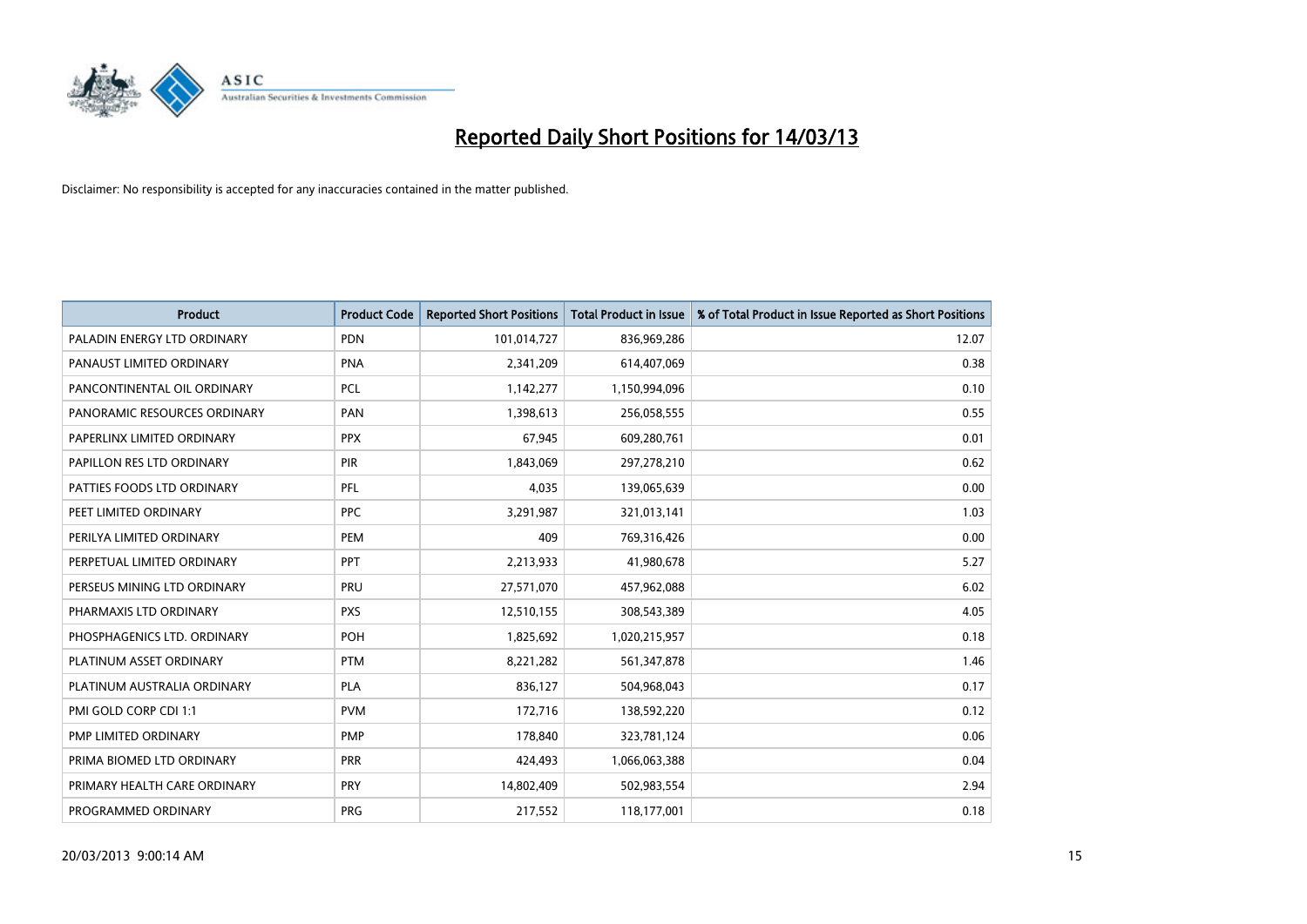

| <b>Product</b>               | <b>Product Code</b> | <b>Reported Short Positions</b> | <b>Total Product in Issue</b> | % of Total Product in Issue Reported as Short Positions |
|------------------------------|---------------------|---------------------------------|-------------------------------|---------------------------------------------------------|
| PALADIN ENERGY LTD ORDINARY  | <b>PDN</b>          | 101,014,727                     | 836,969,286                   | 12.07                                                   |
| PANAUST LIMITED ORDINARY     | <b>PNA</b>          | 2,341,209                       | 614,407,069                   | 0.38                                                    |
| PANCONTINENTAL OIL ORDINARY  | <b>PCL</b>          | 1,142,277                       | 1,150,994,096                 | 0.10                                                    |
| PANORAMIC RESOURCES ORDINARY | PAN                 | 1,398,613                       | 256,058,555                   | 0.55                                                    |
| PAPERLINX LIMITED ORDINARY   | <b>PPX</b>          | 67,945                          | 609,280,761                   | 0.01                                                    |
| PAPILLON RES LTD ORDINARY    | PIR                 | 1,843,069                       | 297,278,210                   | 0.62                                                    |
| PATTIES FOODS LTD ORDINARY   | <b>PFL</b>          | 4,035                           | 139,065,639                   | 0.00                                                    |
| PEET LIMITED ORDINARY        | <b>PPC</b>          | 3,291,987                       | 321,013,141                   | 1.03                                                    |
| PERILYA LIMITED ORDINARY     | PEM                 | 409                             | 769,316,426                   | 0.00                                                    |
| PERPETUAL LIMITED ORDINARY   | PPT                 | 2,213,933                       | 41,980,678                    | 5.27                                                    |
| PERSEUS MINING LTD ORDINARY  | PRU                 | 27,571,070                      | 457,962,088                   | 6.02                                                    |
| PHARMAXIS LTD ORDINARY       | <b>PXS</b>          | 12,510,155                      | 308,543,389                   | 4.05                                                    |
| PHOSPHAGENICS LTD. ORDINARY  | POH                 | 1,825,692                       | 1,020,215,957                 | 0.18                                                    |
| PLATINUM ASSET ORDINARY      | <b>PTM</b>          | 8,221,282                       | 561,347,878                   | 1.46                                                    |
| PLATINUM AUSTRALIA ORDINARY  | PLA                 | 836,127                         | 504,968,043                   | 0.17                                                    |
| PMI GOLD CORP CDI 1:1        | <b>PVM</b>          | 172,716                         | 138,592,220                   | 0.12                                                    |
| PMP LIMITED ORDINARY         | <b>PMP</b>          | 178,840                         | 323,781,124                   | 0.06                                                    |
| PRIMA BIOMED LTD ORDINARY    | <b>PRR</b>          | 424,493                         | 1,066,063,388                 | 0.04                                                    |
| PRIMARY HEALTH CARE ORDINARY | <b>PRY</b>          | 14,802,409                      | 502,983,554                   | 2.94                                                    |
| PROGRAMMED ORDINARY          | <b>PRG</b>          | 217,552                         | 118,177,001                   | 0.18                                                    |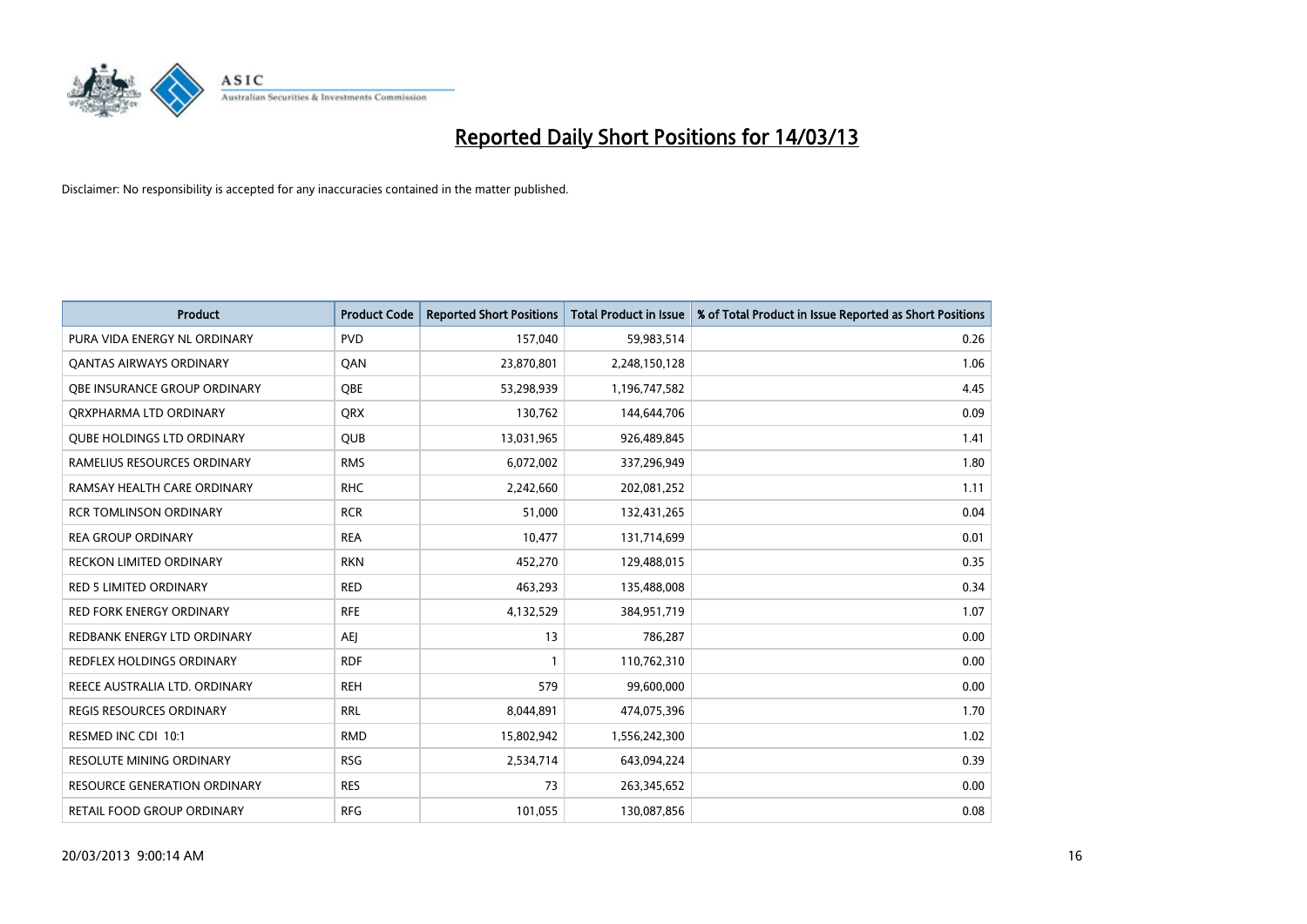

| <b>Product</b>                      | <b>Product Code</b> | <b>Reported Short Positions</b> | <b>Total Product in Issue</b> | % of Total Product in Issue Reported as Short Positions |
|-------------------------------------|---------------------|---------------------------------|-------------------------------|---------------------------------------------------------|
| PURA VIDA ENERGY NL ORDINARY        | <b>PVD</b>          | 157,040                         | 59,983,514                    | 0.26                                                    |
| <b>QANTAS AIRWAYS ORDINARY</b>      | QAN                 | 23,870,801                      | 2,248,150,128                 | 1.06                                                    |
| OBE INSURANCE GROUP ORDINARY        | <b>OBE</b>          | 53,298,939                      | 1,196,747,582                 | 4.45                                                    |
| ORXPHARMA LTD ORDINARY              | <b>ORX</b>          | 130,762                         | 144,644,706                   | 0.09                                                    |
| <b>QUBE HOLDINGS LTD ORDINARY</b>   | <b>QUB</b>          | 13,031,965                      | 926,489,845                   | 1.41                                                    |
| RAMELIUS RESOURCES ORDINARY         | <b>RMS</b>          | 6,072,002                       | 337,296,949                   | 1.80                                                    |
| RAMSAY HEALTH CARE ORDINARY         | <b>RHC</b>          | 2,242,660                       | 202,081,252                   | 1.11                                                    |
| <b>RCR TOMLINSON ORDINARY</b>       | <b>RCR</b>          | 51,000                          | 132,431,265                   | 0.04                                                    |
| <b>REA GROUP ORDINARY</b>           | <b>REA</b>          | 10,477                          | 131,714,699                   | 0.01                                                    |
| <b>RECKON LIMITED ORDINARY</b>      | <b>RKN</b>          | 452,270                         | 129,488,015                   | 0.35                                                    |
| RED 5 LIMITED ORDINARY              | <b>RED</b>          | 463,293                         | 135,488,008                   | 0.34                                                    |
| <b>RED FORK ENERGY ORDINARY</b>     | <b>RFE</b>          | 4,132,529                       | 384,951,719                   | 1.07                                                    |
| REDBANK ENERGY LTD ORDINARY         | AEI                 | 13                              | 786,287                       | 0.00                                                    |
| REDFLEX HOLDINGS ORDINARY           | <b>RDF</b>          |                                 | 110,762,310                   | 0.00                                                    |
| REECE AUSTRALIA LTD. ORDINARY       | <b>REH</b>          | 579                             | 99,600,000                    | 0.00                                                    |
| REGIS RESOURCES ORDINARY            | <b>RRL</b>          | 8,044,891                       | 474,075,396                   | 1.70                                                    |
| RESMED INC CDI 10:1                 | <b>RMD</b>          | 15,802,942                      | 1,556,242,300                 | 1.02                                                    |
| RESOLUTE MINING ORDINARY            | <b>RSG</b>          | 2,534,714                       | 643,094,224                   | 0.39                                                    |
| <b>RESOURCE GENERATION ORDINARY</b> | <b>RES</b>          | 73                              | 263,345,652                   | 0.00                                                    |
| RETAIL FOOD GROUP ORDINARY          | <b>RFG</b>          | 101,055                         | 130,087,856                   | 0.08                                                    |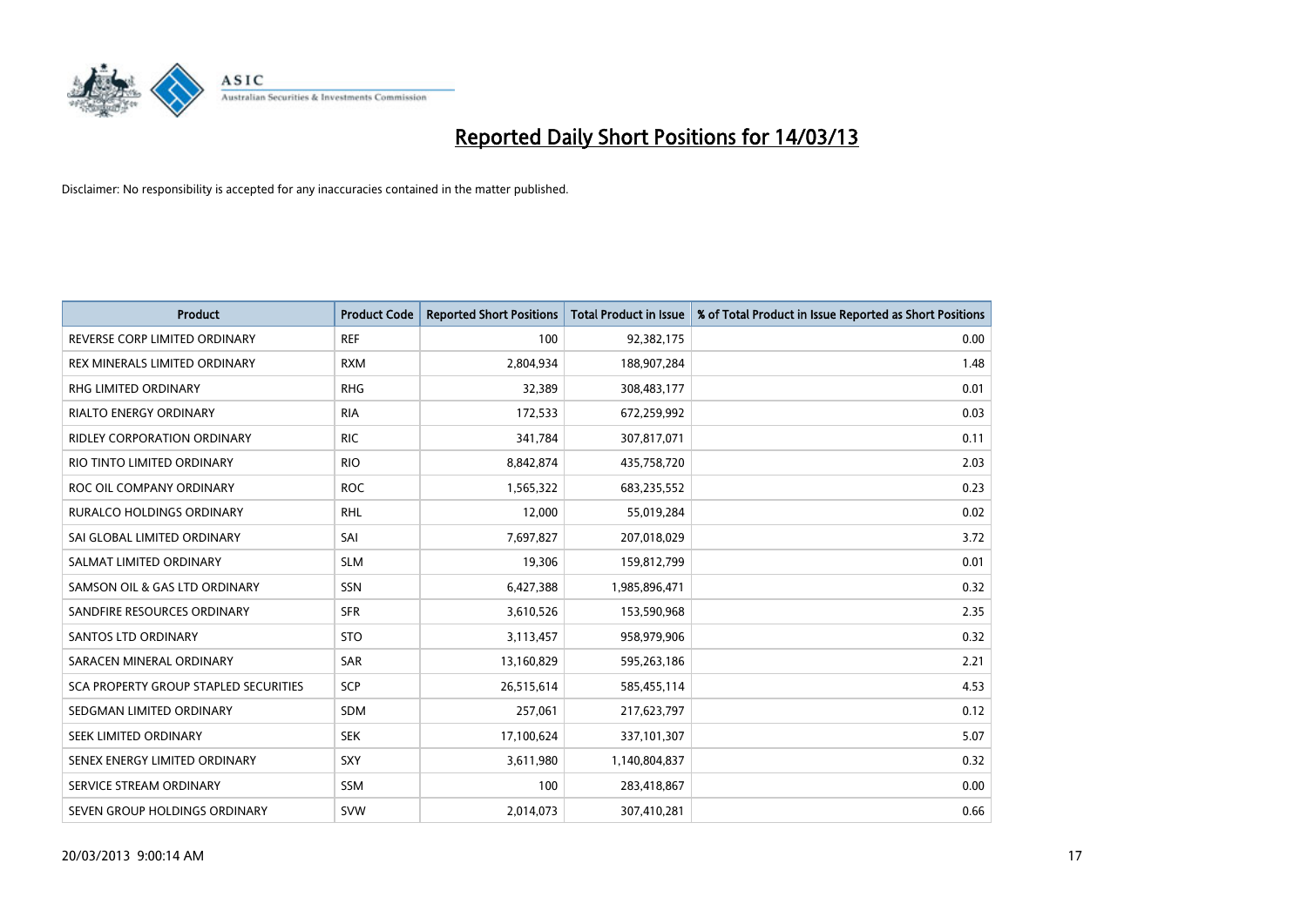

| <b>Product</b>                        | <b>Product Code</b> | <b>Reported Short Positions</b> | <b>Total Product in Issue</b> | % of Total Product in Issue Reported as Short Positions |
|---------------------------------------|---------------------|---------------------------------|-------------------------------|---------------------------------------------------------|
| REVERSE CORP LIMITED ORDINARY         | <b>REF</b>          | 100                             | 92,382,175                    | 0.00                                                    |
| REX MINERALS LIMITED ORDINARY         | <b>RXM</b>          | 2,804,934                       | 188,907,284                   | 1.48                                                    |
| <b>RHG LIMITED ORDINARY</b>           | <b>RHG</b>          | 32,389                          | 308,483,177                   | 0.01                                                    |
| RIALTO ENERGY ORDINARY                | <b>RIA</b>          | 172,533                         | 672,259,992                   | 0.03                                                    |
| <b>RIDLEY CORPORATION ORDINARY</b>    | <b>RIC</b>          | 341,784                         | 307,817,071                   | 0.11                                                    |
| RIO TINTO LIMITED ORDINARY            | <b>RIO</b>          | 8,842,874                       | 435,758,720                   | 2.03                                                    |
| ROC OIL COMPANY ORDINARY              | <b>ROC</b>          | 1,565,322                       | 683,235,552                   | 0.23                                                    |
| RURALCO HOLDINGS ORDINARY             | <b>RHL</b>          | 12,000                          | 55,019,284                    | 0.02                                                    |
| SAI GLOBAL LIMITED ORDINARY           | SAI                 | 7,697,827                       | 207,018,029                   | 3.72                                                    |
| SALMAT LIMITED ORDINARY               | <b>SLM</b>          | 19,306                          | 159,812,799                   | 0.01                                                    |
| SAMSON OIL & GAS LTD ORDINARY         | SSN                 | 6,427,388                       | 1,985,896,471                 | 0.32                                                    |
| SANDFIRE RESOURCES ORDINARY           | <b>SFR</b>          | 3,610,526                       | 153,590,968                   | 2.35                                                    |
| <b>SANTOS LTD ORDINARY</b>            | <b>STO</b>          | 3,113,457                       | 958,979,906                   | 0.32                                                    |
| SARACEN MINERAL ORDINARY              | SAR                 | 13,160,829                      | 595,263,186                   | 2.21                                                    |
| SCA PROPERTY GROUP STAPLED SECURITIES | SCP                 | 26,515,614                      | 585,455,114                   | 4.53                                                    |
| SEDGMAN LIMITED ORDINARY              | <b>SDM</b>          | 257,061                         | 217,623,797                   | 0.12                                                    |
| SEEK LIMITED ORDINARY                 | <b>SEK</b>          | 17,100,624                      | 337,101,307                   | 5.07                                                    |
| SENEX ENERGY LIMITED ORDINARY         | SXY                 | 3,611,980                       | 1,140,804,837                 | 0.32                                                    |
| SERVICE STREAM ORDINARY               | <b>SSM</b>          | 100                             | 283,418,867                   | 0.00                                                    |
| SEVEN GROUP HOLDINGS ORDINARY         | <b>SVW</b>          | 2,014,073                       | 307,410,281                   | 0.66                                                    |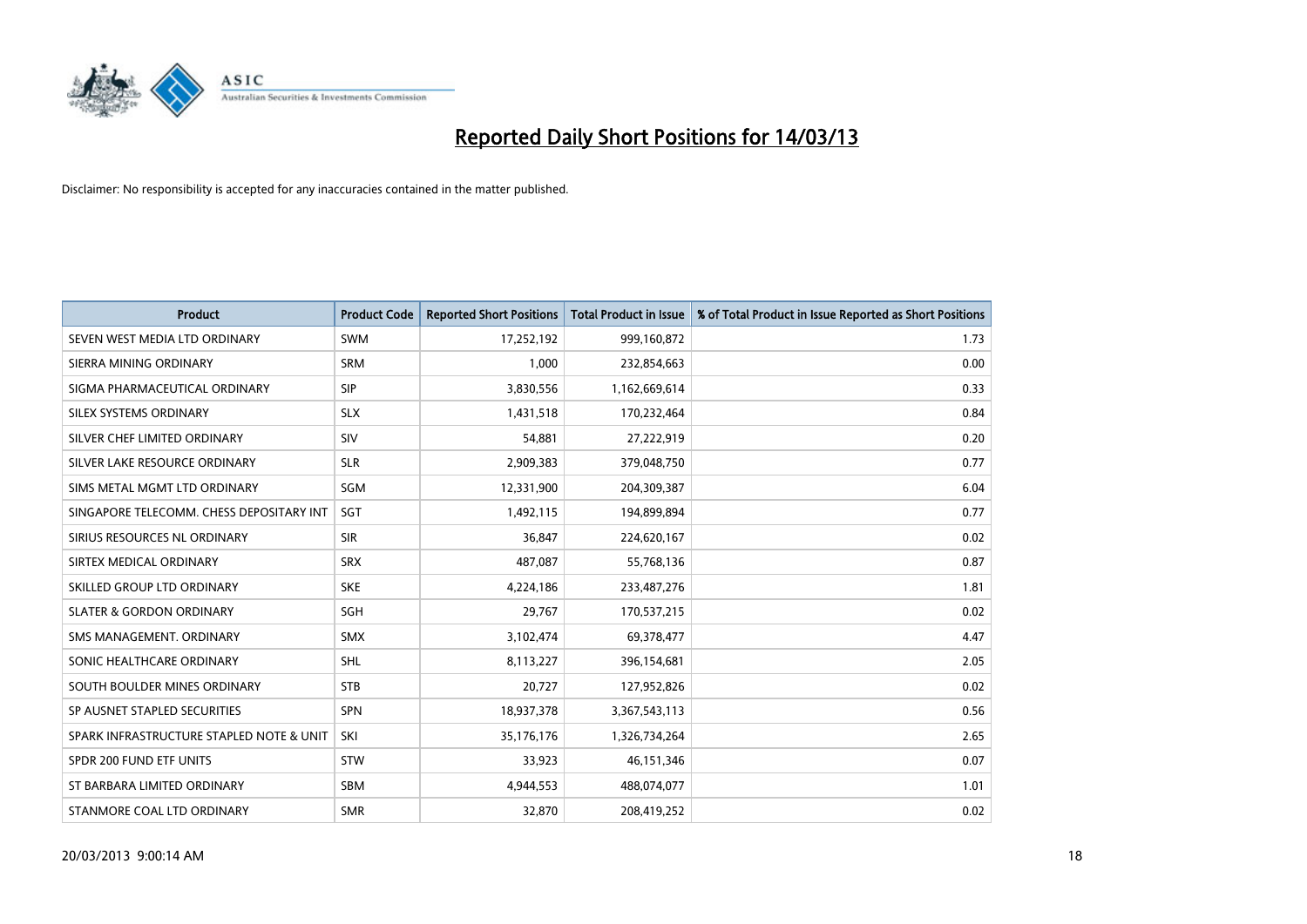

| <b>Product</b>                           | <b>Product Code</b> | <b>Reported Short Positions</b> | <b>Total Product in Issue</b> | % of Total Product in Issue Reported as Short Positions |
|------------------------------------------|---------------------|---------------------------------|-------------------------------|---------------------------------------------------------|
| SEVEN WEST MEDIA LTD ORDINARY            | <b>SWM</b>          | 17,252,192                      | 999,160,872                   | 1.73                                                    |
| SIERRA MINING ORDINARY                   | <b>SRM</b>          | 1,000                           | 232,854,663                   | 0.00                                                    |
| SIGMA PHARMACEUTICAL ORDINARY            | <b>SIP</b>          | 3,830,556                       | 1,162,669,614                 | 0.33                                                    |
| SILEX SYSTEMS ORDINARY                   | <b>SLX</b>          | 1,431,518                       | 170,232,464                   | 0.84                                                    |
| SILVER CHEF LIMITED ORDINARY             | SIV                 | 54,881                          | 27,222,919                    | 0.20                                                    |
| SILVER LAKE RESOURCE ORDINARY            | <b>SLR</b>          | 2,909,383                       | 379,048,750                   | 0.77                                                    |
| SIMS METAL MGMT LTD ORDINARY             | SGM                 | 12,331,900                      | 204,309,387                   | 6.04                                                    |
| SINGAPORE TELECOMM. CHESS DEPOSITARY INT | <b>SGT</b>          | 1,492,115                       | 194,899,894                   | 0.77                                                    |
| SIRIUS RESOURCES NL ORDINARY             | <b>SIR</b>          | 36,847                          | 224,620,167                   | 0.02                                                    |
| SIRTEX MEDICAL ORDINARY                  | <b>SRX</b>          | 487,087                         | 55,768,136                    | 0.87                                                    |
| SKILLED GROUP LTD ORDINARY               | <b>SKE</b>          | 4,224,186                       | 233,487,276                   | 1.81                                                    |
| <b>SLATER &amp; GORDON ORDINARY</b>      | <b>SGH</b>          | 29,767                          | 170,537,215                   | 0.02                                                    |
| SMS MANAGEMENT, ORDINARY                 | <b>SMX</b>          | 3,102,474                       | 69,378,477                    | 4.47                                                    |
| SONIC HEALTHCARE ORDINARY                | <b>SHL</b>          | 8,113,227                       | 396,154,681                   | 2.05                                                    |
| SOUTH BOULDER MINES ORDINARY             | <b>STB</b>          | 20,727                          | 127,952,826                   | 0.02                                                    |
| SP AUSNET STAPLED SECURITIES             | <b>SPN</b>          | 18,937,378                      | 3,367,543,113                 | 0.56                                                    |
| SPARK INFRASTRUCTURE STAPLED NOTE & UNIT | SKI                 | 35,176,176                      | 1,326,734,264                 | 2.65                                                    |
| SPDR 200 FUND ETF UNITS                  | <b>STW</b>          | 33,923                          | 46,151,346                    | 0.07                                                    |
| ST BARBARA LIMITED ORDINARY              | SBM                 | 4,944,553                       | 488,074,077                   | 1.01                                                    |
| STANMORE COAL LTD ORDINARY               | <b>SMR</b>          | 32,870                          | 208,419,252                   | 0.02                                                    |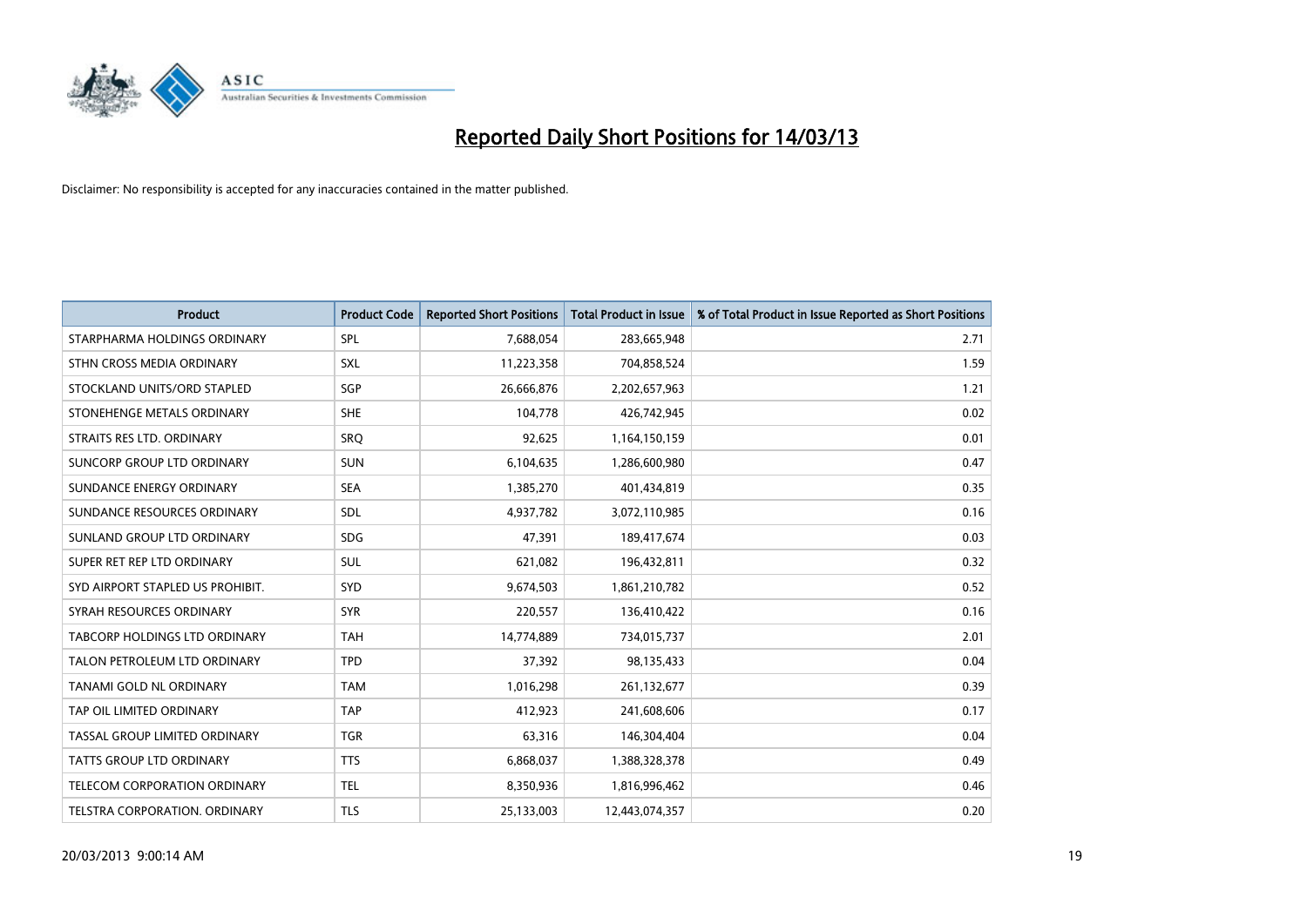

| <b>Product</b>                      | <b>Product Code</b> | <b>Reported Short Positions</b> | <b>Total Product in Issue</b> | % of Total Product in Issue Reported as Short Positions |
|-------------------------------------|---------------------|---------------------------------|-------------------------------|---------------------------------------------------------|
| STARPHARMA HOLDINGS ORDINARY        | SPL                 | 7,688,054                       | 283,665,948                   | 2.71                                                    |
| STHN CROSS MEDIA ORDINARY           | <b>SXL</b>          | 11,223,358                      | 704,858,524                   | 1.59                                                    |
| STOCKLAND UNITS/ORD STAPLED         | <b>SGP</b>          | 26,666,876                      | 2,202,657,963                 | 1.21                                                    |
| STONEHENGE METALS ORDINARY          | <b>SHE</b>          | 104,778                         | 426,742,945                   | 0.02                                                    |
| STRAITS RES LTD. ORDINARY           | SRO                 | 92,625                          | 1,164,150,159                 | 0.01                                                    |
| SUNCORP GROUP LTD ORDINARY          | <b>SUN</b>          | 6,104,635                       | 1,286,600,980                 | 0.47                                                    |
| SUNDANCE ENERGY ORDINARY            | <b>SEA</b>          | 1,385,270                       | 401,434,819                   | 0.35                                                    |
| SUNDANCE RESOURCES ORDINARY         | <b>SDL</b>          | 4,937,782                       | 3,072,110,985                 | 0.16                                                    |
| SUNLAND GROUP LTD ORDINARY          | <b>SDG</b>          | 47,391                          | 189,417,674                   | 0.03                                                    |
| SUPER RET REP LTD ORDINARY          | <b>SUL</b>          | 621,082                         | 196,432,811                   | 0.32                                                    |
| SYD AIRPORT STAPLED US PROHIBIT.    | <b>SYD</b>          | 9,674,503                       | 1,861,210,782                 | 0.52                                                    |
| SYRAH RESOURCES ORDINARY            | <b>SYR</b>          | 220,557                         | 136,410,422                   | 0.16                                                    |
| TABCORP HOLDINGS LTD ORDINARY       | <b>TAH</b>          | 14,774,889                      | 734,015,737                   | 2.01                                                    |
| TALON PETROLEUM LTD ORDINARY        | <b>TPD</b>          | 37,392                          | 98,135,433                    | 0.04                                                    |
| <b>TANAMI GOLD NL ORDINARY</b>      | <b>TAM</b>          | 1,016,298                       | 261,132,677                   | 0.39                                                    |
| TAP OIL LIMITED ORDINARY            | <b>TAP</b>          | 412,923                         | 241,608,606                   | 0.17                                                    |
| TASSAL GROUP LIMITED ORDINARY       | <b>TGR</b>          | 63,316                          | 146,304,404                   | 0.04                                                    |
| TATTS GROUP LTD ORDINARY            | <b>TTS</b>          | 6,868,037                       | 1,388,328,378                 | 0.49                                                    |
| <b>TELECOM CORPORATION ORDINARY</b> | <b>TEL</b>          | 8,350,936                       | 1,816,996,462                 | 0.46                                                    |
| TELSTRA CORPORATION, ORDINARY       | <b>TLS</b>          | 25,133,003                      | 12,443,074,357                | 0.20                                                    |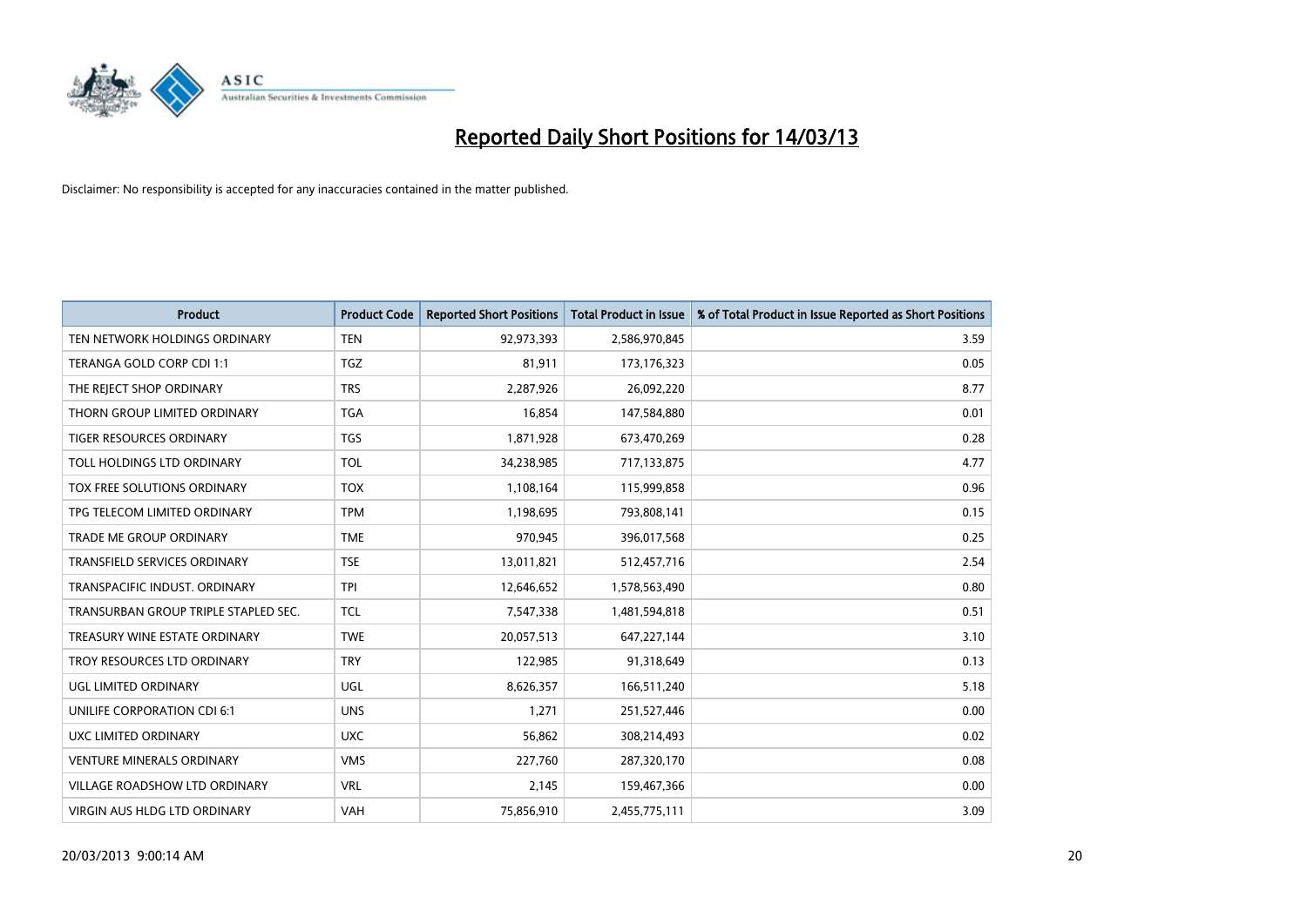

| <b>Product</b>                       | <b>Product Code</b> | <b>Reported Short Positions</b> | <b>Total Product in Issue</b> | % of Total Product in Issue Reported as Short Positions |
|--------------------------------------|---------------------|---------------------------------|-------------------------------|---------------------------------------------------------|
| TEN NETWORK HOLDINGS ORDINARY        | <b>TEN</b>          | 92,973,393                      | 2,586,970,845                 | 3.59                                                    |
| TERANGA GOLD CORP CDI 1:1            | <b>TGZ</b>          | 81,911                          | 173, 176, 323                 | 0.05                                                    |
| THE REJECT SHOP ORDINARY             | <b>TRS</b>          | 2,287,926                       | 26,092,220                    | 8.77                                                    |
| THORN GROUP LIMITED ORDINARY         | <b>TGA</b>          | 16,854                          | 147,584,880                   | 0.01                                                    |
| <b>TIGER RESOURCES ORDINARY</b>      | <b>TGS</b>          | 1,871,928                       | 673,470,269                   | 0.28                                                    |
| TOLL HOLDINGS LTD ORDINARY           | <b>TOL</b>          | 34,238,985                      | 717,133,875                   | 4.77                                                    |
| TOX FREE SOLUTIONS ORDINARY          | <b>TOX</b>          | 1,108,164                       | 115,999,858                   | 0.96                                                    |
| TPG TELECOM LIMITED ORDINARY         | <b>TPM</b>          | 1,198,695                       | 793,808,141                   | 0.15                                                    |
| <b>TRADE ME GROUP ORDINARY</b>       | <b>TME</b>          | 970.945                         | 396,017,568                   | 0.25                                                    |
| <b>TRANSFIELD SERVICES ORDINARY</b>  | <b>TSE</b>          | 13,011,821                      | 512,457,716                   | 2.54                                                    |
| TRANSPACIFIC INDUST. ORDINARY        | <b>TPI</b>          | 12,646,652                      | 1,578,563,490                 | 0.80                                                    |
| TRANSURBAN GROUP TRIPLE STAPLED SEC. | <b>TCL</b>          | 7,547,338                       | 1,481,594,818                 | 0.51                                                    |
| TREASURY WINE ESTATE ORDINARY        | <b>TWE</b>          | 20,057,513                      | 647,227,144                   | 3.10                                                    |
| TROY RESOURCES LTD ORDINARY          | <b>TRY</b>          | 122,985                         | 91,318,649                    | 0.13                                                    |
| <b>UGL LIMITED ORDINARY</b>          | UGL                 | 8,626,357                       | 166,511,240                   | 5.18                                                    |
| UNILIFE CORPORATION CDI 6:1          | <b>UNS</b>          | 1,271                           | 251,527,446                   | 0.00                                                    |
| UXC LIMITED ORDINARY                 | <b>UXC</b>          | 56,862                          | 308,214,493                   | 0.02                                                    |
| <b>VENTURE MINERALS ORDINARY</b>     | <b>VMS</b>          | 227,760                         | 287,320,170                   | 0.08                                                    |
| <b>VILLAGE ROADSHOW LTD ORDINARY</b> | <b>VRL</b>          | 2,145                           | 159,467,366                   | 0.00                                                    |
| VIRGIN AUS HLDG LTD ORDINARY         | VAH                 | 75,856,910                      | 2,455,775,111                 | 3.09                                                    |